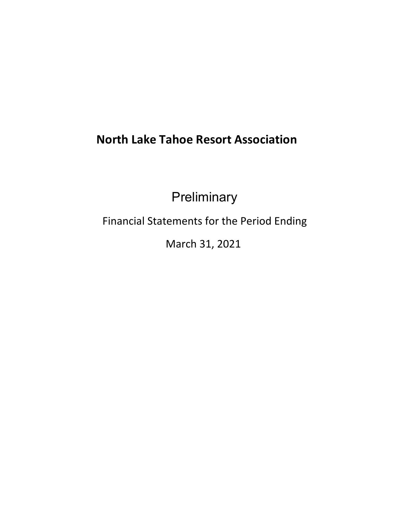# **North Lake Tahoe Resort Association**

**Preliminary** 

Financial Statements for the Period Ending

March 31, 2021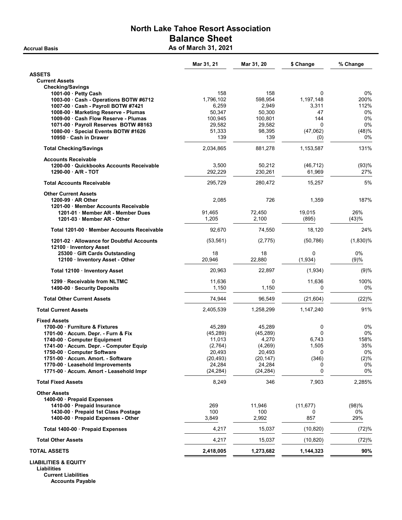## North Lake Tahoe Resort Association Balance Sheet Accrual Basis **As of March 31, 2021**

Mar 31, 21 Mar 31, 20 \$ Change % Change ASSETS Current Assets Checking/Savings 1001-00 · Petty Cash 158 158 0 0% 1003-00 · Cash - Operations BOTW #6712 1,796,102 598,954 1,197,148 200%<br>1007-00 · Cash - Payroll BOTW #7421 6,259 2,949 3,311 12% 1007-00 · Cash - Payroll BOTW #7421 6,259 2,949 3,311 1008-00 · Marketing Reserve - Plumas 50,347 50,300 47 0% 1009-00 · Cash Flow Reserve - Plumas 1071-00 · Payroll Reserves BOTW #8163 29,582 29,582 0 0% 1080-00 · Special Events BOTW #1626 51,333 98,395 (47,062) (48)% 10950 · Cash in Drawer 139 · 2012 · 2023 · 2024 · 2024 · 2034 · 2035 · 2039 · 2030 · 2030 · 2030 · 2030 · 2030 · 2030 · 2030 · 2030 · 2030 · 2030 · 2030 · 2030 · 2030 · 2030 · 2030 · 2030 · 2030 · 2030 · 2030 · 2030 · 2030 Total Checking/Savings **2,034,865** 881,278 1,153,587 1,153,587 131% Accounts Receivable 1200-00 · Quickbooks Accounts Receivable 3,500 50,212 (46,712) (93)% 1290-00 · A/R - TOT 292,229 230,261 61,969 27% Total Accounts Receivable 295,729 280,472 15,257 5% Other Current Assets 1200-99 · AR Other 2,085 2,085 726 1,359 187% 1201-00 · Member Accounts Receivable 1201-01 · Member AR - Member Dues 91,465 72,450 19,015 26% 1201-03 · Member AR - Other 1,205 1,205 2,100 (895) Total 1201-00 · Member Accounts Receivable **92,670** 74,550 18,120 24% 1201-02 · Allowance for Doubtful Accounts (53,561) (2,775) (50,786) (1,830)% 12100 · Inventory Asset 25300 · Gift Cards Outstanding 18 18 0 0% 12100 · Inventory Asset - Other 20,946 22,880 (1,934) (9)% Total 12100 · Inventory Asset 20,963 22,897 (1,934) (9)% 1299 · Receivable from NLTMC **11,636** 11,636 0 11,636 100% 1490-00 · Security Deposits **1,150** 1,150 **1,150** 1,150 0% **0** 0% Total Other Current Assets **74,944** 96,549 (21,604) (22)% Total Current Assets 6 1,147,240 1,147,240 1,147,240 1,147,240 1,147,240 1,147,240 1,147,240 1 91% Fixed Assets 1700-00 · Furniture & Fixtures 45,289 45,289 0 0% 1701-00 · Accum. Depr. - Furn & Fix 1740-00 · Computer Equipment 11,013 4,270 6,743 158% 1741-00 · Accum. Depr. - Computer Equip 1750-00 · Computer Software 20,493 20,493 0 0% 1751-00 · Accum. Amort. - Software (20,493) (20,147) (346) (2)% 1770-00 · Leasehold Improvements 1771-00 · Accum. Amort - Leasehold Impr (24,284) (24,284) 0 0% **Total Fixed Assets** 8,285% **8,249** 346 7,903 2,285% Other Assets 1400-00 · Prepaid Expenses 1410-00 · Prepaid Insurance 269 11,946 (11,677) (98)% 1430-00 · Prepaid 1st Class Postage 100 100 0 0% 1400-00 · Prepaid Expenses - Other Total 1400-00 · Prepaid Expenses 2,217 15,037 (10,820) (72)% Total Other Assets **15,037** (10,820) **(72)%** (72) TOTAL ASSETS 2,418,005 1,273,682 1,144,323 90%

LIABILITIES & EQUITY Liabilities

> Current Liabilities Accounts Payable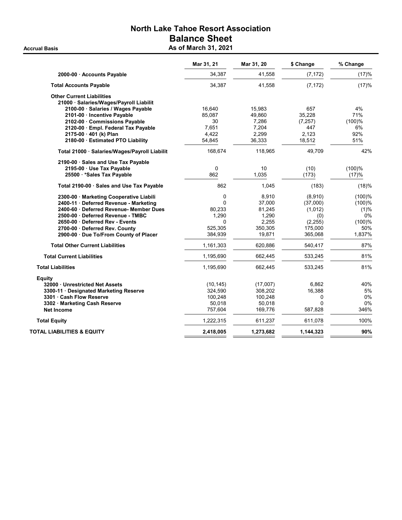## North Lake Tahoe Resort Association Balance Sheet Accrual Basis **Accrual Basis** As of March 31, 2021

|                                               | Mar 31, 21 | Mar 31, 20 | \$ Change | % Change |
|-----------------------------------------------|------------|------------|-----------|----------|
| 2000-00 · Accounts Payable                    | 34,387     | 41,558     | (7, 172)  | (17)%    |
| <b>Total Accounts Payable</b>                 | 34,387     | 41,558     | (7, 172)  | (17)%    |
| <b>Other Current Liabilities</b>              |            |            |           |          |
| 21000 · Salaries/Wages/Payroll Liabilit       |            |            |           |          |
| 2100-00 · Salaries / Wages Payable            | 16,640     | 15,983     | 657       | 4%       |
| 2101-00 · Incentive Payable                   | 85.087     | 49,860     | 35,228    | 71%      |
| 2102-00 Commissions Payable                   | 30         | 7,286      | (7, 257)  | (100)%   |
| 2120-00 · Empl. Federal Tax Payable           | 7,651      | 7,204      | 447       | 6%       |
| 2175-00 · 401 (k) Plan                        | 4,422      | 2,299      | 2,123     | 92%      |
| 2180-00 · Estimated PTO Liability             | 54,845     | 36,333     | 18,512    | 51%      |
| Total 21000 · Salaries/Wages/Payroll Liabilit | 168,674    | 118,965    | 49,709    | 42%      |
| 2190-00 Sales and Use Tax Payable             |            |            |           |          |
| 2195-00 · Use Tax Payable                     | $\Omega$   | 10         | (10)      | (100)%   |
| 25500 *Sales Tax Payable                      | 862        | 1,035      | (173)     | (17)%    |
| Total 2190-00 · Sales and Use Tax Payable     | 862        | 1,045      | (183)     | (18)%    |
| 2300-00 · Marketing Cooperative Liabili       | 0          | 8,910      | (8,910)   | (100)%   |
| 2400-11 Deferred Revenue - Marketing          | $\Omega$   | 37,000     | (37,000)  | (100)%   |
| 2400-60 · Deferred Revenue- Member Dues       | 80,233     | 81,245     | (1,012)   | (1)%     |
| 2500-00 Deferred Revenue - TMBC               | 1,290      | 1,290      | (0)       | 0%       |
| 2650-00 Deferred Rev - Events                 | 0          | 2,255      | (2, 255)  | (100)%   |
| 2700-00 · Deferred Rev. County                | 525,305    | 350,305    | 175,000   | 50%      |
| 2900-00 · Due To/From County of Placer        | 384,939    | 19,871     | 365,068   | 1,837%   |
| <b>Total Other Current Liabilities</b>        | 1,161,303  | 620,886    | 540,417   | 87%      |
| <b>Total Current Liabilities</b>              | 1,195,690  | 662,445    | 533,245   | 81%      |
| <b>Total Liabilities</b>                      | 1,195,690  | 662,445    | 533,245   | 81%      |
| Equity                                        |            |            |           |          |
| 32000 Unrestricted Net Assets                 | (10, 145)  | (17,007)   | 6,862     | 40%      |
| 3300-11 Designated Marketing Reserve          | 324,590    | 308,202    | 16,388    | 5%       |
| 3301 Cash Flow Reserve                        | 100,248    | 100,248    | 0         | 0%       |
| 3302 Marketing Cash Reserve                   | 50,018     | 50,018     | 0         | 0%       |
| <b>Net Income</b>                             | 757,604    | 169,776    | 587,828   | 346%     |
| <b>Total Equity</b>                           | 1,222,315  | 611,237    | 611,078   | 100%     |
| TOTAL LIABILITIES & EQUITY                    | 2,418,005  | 1,273,682  | 1,144,323 | 90%      |
|                                               |            |            |           |          |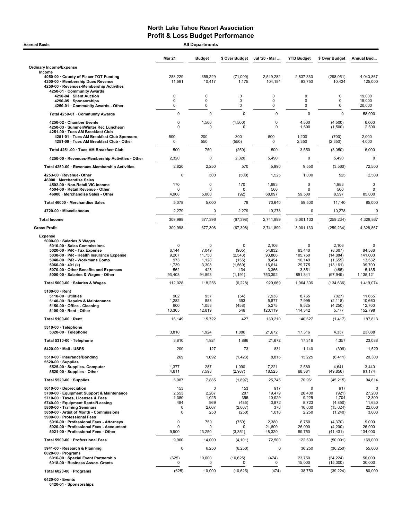| <b>Mar 21</b><br><b>Budget</b><br>\$ Over Budget<br>Jul '20 - Mar<br><b>YTD Budget</b><br>\$ Over Budget<br>Annual Bud<br><b>Ordinary Income/Expense</b><br>Income<br>4050-00 County of Placer TOT Funding<br>288,229<br>359,229<br>(71,000)<br>2,549,282<br>2,837,333<br>(288, 051)<br>4,043,867<br>11,591<br>10,434<br>4200-00 · Membership Dues Revenue<br>10,417<br>1,175<br>104,184<br>93,750<br>125,000<br>4250-00 · Revenues-Membership Activities<br>4250-01 · Community Awards<br>$\mathbf 0$<br>0<br>0<br>0<br>0<br>4250-04 · Silent Auction<br>0<br>19,000<br>0<br>0<br>0<br>0<br>0<br>0<br>19,000<br>4250-05 · Sponsorships<br>4250-01 · Community Awards - Other<br>0<br>0<br>0<br>0<br>0<br>0<br>20,000<br>$\mathbf 0$<br>$\mathbf 0$<br>0<br>$\mathbf 0$<br>$\mathbf 0$<br>$\mathbf 0$<br>Total 4250-01 · Community Awards<br>58,000<br>0<br>1,500<br>4250-02 · Chamber Events<br>(1,500)<br>0<br>4,500<br>(4,500)<br>6,000<br>$\mathbf 0$<br>$\mathbf 0$<br>4250-03 · Summer/Winter Rec Luncheon<br>$\mathbf 0$<br>1,500<br>(1,500)<br>2,500<br>0<br>4251-00 · Tues AM Breakfast Club<br>200<br>300<br>1,200<br>2,000<br>500<br>500<br>(700)<br>4251-01 · Tues AM Breakfast Club Sponsors<br>4251-00 · Tues AM Breakfast Club - Other<br>$\mathbf 0$<br>550<br>0<br>(550)<br>2,350<br>4,000<br>(2,350)<br>Total 4251-00 · Tues AM Breakfast Club<br>500<br>500<br>750<br>(250)<br>3,550<br>(3,050)<br>6,000<br>2,320<br>0<br>2,320<br>5,490<br>$\mathbf 0$<br>4250-00 · Revenues-Membership Activities - Other<br>5,490<br>2,820<br>2,250<br>570<br>5,990<br>9,550<br>72,500<br>Total 4250-00 · Revenues-Membership Activities<br>(3,560)<br>$\Omega$<br>1,000<br>4253-00 · Revenue-Other<br>500<br>(500)<br>1,525<br>525<br>2,500<br>46000 · Merchandise Sales<br>170<br>0<br>170<br>1,983<br>$\mathbf 0$<br>1,983<br>4502-00 · Non-Retail VIC income<br>4504-00 · Retail Revenue - Other<br>0<br>$\Omega$<br>560<br>560<br>0<br>O<br>5,000<br>68,097<br>85,000<br>46000 · Merchandise Sales - Other<br>4,908<br>(92)<br>59,500<br>8,597<br>5,000<br>78<br>85,000<br>Total 46000 · Merchandise Sales<br>5,078<br>70,640<br>59,500<br>11,140<br>4720-00 · Miscellaneous<br>2,279<br>0<br>2,279<br>10,278<br>0<br>10,278<br>309,998<br>4,328,867<br><b>Total Income</b><br>377,396<br>(67, 398)<br>2,741,899<br>3,001,133<br>(259, 234)<br><b>Gross Profit</b><br>309,998<br>377,396<br>(67, 398)<br>2,741,899<br>3,001,133<br>(259, 234)<br>4,328,867<br><b>Expense</b><br>5000-00 · Salaries & Wages<br>2,106<br>2,106<br>5010-00 · Sales Commissions<br>0<br>0<br>$\mathbf 0$<br>0<br>7,049<br>54,832<br>63,440<br>6,144<br>(905)<br>(8,607)<br>84,586<br>5020-00 $\cdot$ P/R - Tax Expense<br>11,750<br>90,866<br>105,750<br>5030-00 · P/R - Health Insurance Expense<br>9,207<br>(2, 543)<br>(14, 884)<br>141,000<br>973<br>1,128<br>8,494<br>10,149<br>(1,655)<br>13,532<br>5040-00 · P/R - Workmans Comp<br>(155)<br>29,775<br>5060-00 $\cdot$ 401 (k)<br>1,739<br>3,308<br>(1, 569)<br>16,614<br>(13, 161)<br>39,700<br>428<br>3,366<br>5,135<br>5070-00 Other Benefits and Expenses<br>562<br>134<br>3,851<br>(485)<br>753,392<br>5000-00 · Salaries & Wages - Other<br>93,403<br>94,593<br>(1, 191)<br>851,341<br>1,135,121<br>(97, 949)<br>112,028<br>1,419,074<br>Total 5000-00 · Salaries & Wages<br>118,256<br>(6, 228)<br>929,669<br>1,064,306<br>(134, 636)<br>$5100-00 \cdot$ Rent<br>902<br>957<br>7,938<br>(54)<br>8,765<br>(827)<br>11,655<br>$5110-00 \cdot$ Utilities<br>1,282<br>888<br>393<br>5,877<br>7,995<br>10,660<br>5140-00 · Repairs & Maintenance<br>(2, 118)<br>5,275<br>12,700<br>5150-00 · Office - Cleaning<br>600<br>1,058<br>(458)<br>9,525<br>(4,250)<br>5100-00 · Rent - Other<br>13,365<br>12,819<br>546<br>120,119<br>114,342<br>5,777<br>152,798<br>427<br>Total 5100-00 · Rent<br>16,149<br>15,722<br>139,210<br>140,627<br>(1, 417)<br>187,813<br>5310-00 · Telephone<br>1,924<br>23,088<br>5320-00 · Telephone<br>3,810<br>1,886<br>21,672<br>17,316<br>4,357<br>3,810<br>1,924<br>1,886<br>21,672<br>17,316<br>4,357<br>23,088<br>Total 5310-00 · Telephone<br>200<br>127<br>73<br>1,140<br>(309)<br>5420-00 · Mail - USPS<br>831<br>1,520<br>269<br>(1, 423)<br>20,300<br>1,692<br>8,815<br>15,225<br>(6, 411)<br>5510-00 · Insurance/Bonding<br>$5520-00 \cdot$ Supplies<br>287<br>7,221<br>3,440<br>5525-00 · Supplies- Computer<br>1,377<br>1,090<br>2,580<br>4,641<br>5520-00 · Supplies - Other<br>7,598<br>18,525<br>68,381<br>91,174<br>4,611<br>(2,987)<br>(49, 856)<br>5,987<br>7,885<br>25,745<br>70,961<br>94,614<br>Total 5520-00 · Supplies<br>(1,897)<br>(45, 215)<br>153<br>0<br>153<br>917<br>0<br>917 | <b>Accrual Basis</b> |
|---------------------------------------------------------------------------------------------------------------------------------------------------------------------------------------------------------------------------------------------------------------------------------------------------------------------------------------------------------------------------------------------------------------------------------------------------------------------------------------------------------------------------------------------------------------------------------------------------------------------------------------------------------------------------------------------------------------------------------------------------------------------------------------------------------------------------------------------------------------------------------------------------------------------------------------------------------------------------------------------------------------------------------------------------------------------------------------------------------------------------------------------------------------------------------------------------------------------------------------------------------------------------------------------------------------------------------------------------------------------------------------------------------------------------------------------------------------------------------------------------------------------------------------------------------------------------------------------------------------------------------------------------------------------------------------------------------------------------------------------------------------------------------------------------------------------------------------------------------------------------------------------------------------------------------------------------------------------------------------------------------------------------------------------------------------------------------------------------------------------------------------------------------------------------------------------------------------------------------------------------------------------------------------------------------------------------------------------------------------------------------------------------------------------------------------------------------------------------------------------------------------------------------------------------------------------------------------------------------------------------------------------------------------------------------------------------------------------------------------------------------------------------------------------------------------------------------------------------------------------------------------------------------------------------------------------------------------------------------------------------------------------------------------------------------------------------------------------------------------------------------------------------------------------------------------------------------------------------------------------------------------------------------------------------------------------------------------------------------------------------------------------------------------------------------------------------------------------------------------------------------------------------------------------------------------------------------------------------------------------------------------------------------------------------------------------------------------------------------------------------------------------------------------------------------------------------------------------------------------------------------------------------------------------------------------------------------------------------------------------------------------------------------------------------------------------------------------------------------------------------------------------------------------------------------------------------------------------------------------------------------------------------------------------------------------------------------------------------------------------------------------------------------------------------------------------------------------------------------------------------------------------------------------------------------------------------------------------------------------------------------------------------------------------------------------|----------------------|
|                                                                                                                                                                                                                                                                                                                                                                                                                                                                                                                                                                                                                                                                                                                                                                                                                                                                                                                                                                                                                                                                                                                                                                                                                                                                                                                                                                                                                                                                                                                                                                                                                                                                                                                                                                                                                                                                                                                                                                                                                                                                                                                                                                                                                                                                                                                                                                                                                                                                                                                                                                                                                                                                                                                                                                                                                                                                                                                                                                                                                                                                                                                                                                                                                                                                                                                                                                                                                                                                                                                                                                                                                                                                                                                                                                                                                                                                                                                                                                                                                                                                                                                                                                                                                                                                                                                                                                                                                                                                                                                                                                                                                                                                                       |                      |
|                                                                                                                                                                                                                                                                                                                                                                                                                                                                                                                                                                                                                                                                                                                                                                                                                                                                                                                                                                                                                                                                                                                                                                                                                                                                                                                                                                                                                                                                                                                                                                                                                                                                                                                                                                                                                                                                                                                                                                                                                                                                                                                                                                                                                                                                                                                                                                                                                                                                                                                                                                                                                                                                                                                                                                                                                                                                                                                                                                                                                                                                                                                                                                                                                                                                                                                                                                                                                                                                                                                                                                                                                                                                                                                                                                                                                                                                                                                                                                                                                                                                                                                                                                                                                                                                                                                                                                                                                                                                                                                                                                                                                                                                                       |                      |
|                                                                                                                                                                                                                                                                                                                                                                                                                                                                                                                                                                                                                                                                                                                                                                                                                                                                                                                                                                                                                                                                                                                                                                                                                                                                                                                                                                                                                                                                                                                                                                                                                                                                                                                                                                                                                                                                                                                                                                                                                                                                                                                                                                                                                                                                                                                                                                                                                                                                                                                                                                                                                                                                                                                                                                                                                                                                                                                                                                                                                                                                                                                                                                                                                                                                                                                                                                                                                                                                                                                                                                                                                                                                                                                                                                                                                                                                                                                                                                                                                                                                                                                                                                                                                                                                                                                                                                                                                                                                                                                                                                                                                                                                                       |                      |
|                                                                                                                                                                                                                                                                                                                                                                                                                                                                                                                                                                                                                                                                                                                                                                                                                                                                                                                                                                                                                                                                                                                                                                                                                                                                                                                                                                                                                                                                                                                                                                                                                                                                                                                                                                                                                                                                                                                                                                                                                                                                                                                                                                                                                                                                                                                                                                                                                                                                                                                                                                                                                                                                                                                                                                                                                                                                                                                                                                                                                                                                                                                                                                                                                                                                                                                                                                                                                                                                                                                                                                                                                                                                                                                                                                                                                                                                                                                                                                                                                                                                                                                                                                                                                                                                                                                                                                                                                                                                                                                                                                                                                                                                                       |                      |
|                                                                                                                                                                                                                                                                                                                                                                                                                                                                                                                                                                                                                                                                                                                                                                                                                                                                                                                                                                                                                                                                                                                                                                                                                                                                                                                                                                                                                                                                                                                                                                                                                                                                                                                                                                                                                                                                                                                                                                                                                                                                                                                                                                                                                                                                                                                                                                                                                                                                                                                                                                                                                                                                                                                                                                                                                                                                                                                                                                                                                                                                                                                                                                                                                                                                                                                                                                                                                                                                                                                                                                                                                                                                                                                                                                                                                                                                                                                                                                                                                                                                                                                                                                                                                                                                                                                                                                                                                                                                                                                                                                                                                                                                                       |                      |
|                                                                                                                                                                                                                                                                                                                                                                                                                                                                                                                                                                                                                                                                                                                                                                                                                                                                                                                                                                                                                                                                                                                                                                                                                                                                                                                                                                                                                                                                                                                                                                                                                                                                                                                                                                                                                                                                                                                                                                                                                                                                                                                                                                                                                                                                                                                                                                                                                                                                                                                                                                                                                                                                                                                                                                                                                                                                                                                                                                                                                                                                                                                                                                                                                                                                                                                                                                                                                                                                                                                                                                                                                                                                                                                                                                                                                                                                                                                                                                                                                                                                                                                                                                                                                                                                                                                                                                                                                                                                                                                                                                                                                                                                                       |                      |
|                                                                                                                                                                                                                                                                                                                                                                                                                                                                                                                                                                                                                                                                                                                                                                                                                                                                                                                                                                                                                                                                                                                                                                                                                                                                                                                                                                                                                                                                                                                                                                                                                                                                                                                                                                                                                                                                                                                                                                                                                                                                                                                                                                                                                                                                                                                                                                                                                                                                                                                                                                                                                                                                                                                                                                                                                                                                                                                                                                                                                                                                                                                                                                                                                                                                                                                                                                                                                                                                                                                                                                                                                                                                                                                                                                                                                                                                                                                                                                                                                                                                                                                                                                                                                                                                                                                                                                                                                                                                                                                                                                                                                                                                                       |                      |
|                                                                                                                                                                                                                                                                                                                                                                                                                                                                                                                                                                                                                                                                                                                                                                                                                                                                                                                                                                                                                                                                                                                                                                                                                                                                                                                                                                                                                                                                                                                                                                                                                                                                                                                                                                                                                                                                                                                                                                                                                                                                                                                                                                                                                                                                                                                                                                                                                                                                                                                                                                                                                                                                                                                                                                                                                                                                                                                                                                                                                                                                                                                                                                                                                                                                                                                                                                                                                                                                                                                                                                                                                                                                                                                                                                                                                                                                                                                                                                                                                                                                                                                                                                                                                                                                                                                                                                                                                                                                                                                                                                                                                                                                                       |                      |
|                                                                                                                                                                                                                                                                                                                                                                                                                                                                                                                                                                                                                                                                                                                                                                                                                                                                                                                                                                                                                                                                                                                                                                                                                                                                                                                                                                                                                                                                                                                                                                                                                                                                                                                                                                                                                                                                                                                                                                                                                                                                                                                                                                                                                                                                                                                                                                                                                                                                                                                                                                                                                                                                                                                                                                                                                                                                                                                                                                                                                                                                                                                                                                                                                                                                                                                                                                                                                                                                                                                                                                                                                                                                                                                                                                                                                                                                                                                                                                                                                                                                                                                                                                                                                                                                                                                                                                                                                                                                                                                                                                                                                                                                                       |                      |
|                                                                                                                                                                                                                                                                                                                                                                                                                                                                                                                                                                                                                                                                                                                                                                                                                                                                                                                                                                                                                                                                                                                                                                                                                                                                                                                                                                                                                                                                                                                                                                                                                                                                                                                                                                                                                                                                                                                                                                                                                                                                                                                                                                                                                                                                                                                                                                                                                                                                                                                                                                                                                                                                                                                                                                                                                                                                                                                                                                                                                                                                                                                                                                                                                                                                                                                                                                                                                                                                                                                                                                                                                                                                                                                                                                                                                                                                                                                                                                                                                                                                                                                                                                                                                                                                                                                                                                                                                                                                                                                                                                                                                                                                                       |                      |
|                                                                                                                                                                                                                                                                                                                                                                                                                                                                                                                                                                                                                                                                                                                                                                                                                                                                                                                                                                                                                                                                                                                                                                                                                                                                                                                                                                                                                                                                                                                                                                                                                                                                                                                                                                                                                                                                                                                                                                                                                                                                                                                                                                                                                                                                                                                                                                                                                                                                                                                                                                                                                                                                                                                                                                                                                                                                                                                                                                                                                                                                                                                                                                                                                                                                                                                                                                                                                                                                                                                                                                                                                                                                                                                                                                                                                                                                                                                                                                                                                                                                                                                                                                                                                                                                                                                                                                                                                                                                                                                                                                                                                                                                                       |                      |
|                                                                                                                                                                                                                                                                                                                                                                                                                                                                                                                                                                                                                                                                                                                                                                                                                                                                                                                                                                                                                                                                                                                                                                                                                                                                                                                                                                                                                                                                                                                                                                                                                                                                                                                                                                                                                                                                                                                                                                                                                                                                                                                                                                                                                                                                                                                                                                                                                                                                                                                                                                                                                                                                                                                                                                                                                                                                                                                                                                                                                                                                                                                                                                                                                                                                                                                                                                                                                                                                                                                                                                                                                                                                                                                                                                                                                                                                                                                                                                                                                                                                                                                                                                                                                                                                                                                                                                                                                                                                                                                                                                                                                                                                                       |                      |
|                                                                                                                                                                                                                                                                                                                                                                                                                                                                                                                                                                                                                                                                                                                                                                                                                                                                                                                                                                                                                                                                                                                                                                                                                                                                                                                                                                                                                                                                                                                                                                                                                                                                                                                                                                                                                                                                                                                                                                                                                                                                                                                                                                                                                                                                                                                                                                                                                                                                                                                                                                                                                                                                                                                                                                                                                                                                                                                                                                                                                                                                                                                                                                                                                                                                                                                                                                                                                                                                                                                                                                                                                                                                                                                                                                                                                                                                                                                                                                                                                                                                                                                                                                                                                                                                                                                                                                                                                                                                                                                                                                                                                                                                                       |                      |
|                                                                                                                                                                                                                                                                                                                                                                                                                                                                                                                                                                                                                                                                                                                                                                                                                                                                                                                                                                                                                                                                                                                                                                                                                                                                                                                                                                                                                                                                                                                                                                                                                                                                                                                                                                                                                                                                                                                                                                                                                                                                                                                                                                                                                                                                                                                                                                                                                                                                                                                                                                                                                                                                                                                                                                                                                                                                                                                                                                                                                                                                                                                                                                                                                                                                                                                                                                                                                                                                                                                                                                                                                                                                                                                                                                                                                                                                                                                                                                                                                                                                                                                                                                                                                                                                                                                                                                                                                                                                                                                                                                                                                                                                                       |                      |
|                                                                                                                                                                                                                                                                                                                                                                                                                                                                                                                                                                                                                                                                                                                                                                                                                                                                                                                                                                                                                                                                                                                                                                                                                                                                                                                                                                                                                                                                                                                                                                                                                                                                                                                                                                                                                                                                                                                                                                                                                                                                                                                                                                                                                                                                                                                                                                                                                                                                                                                                                                                                                                                                                                                                                                                                                                                                                                                                                                                                                                                                                                                                                                                                                                                                                                                                                                                                                                                                                                                                                                                                                                                                                                                                                                                                                                                                                                                                                                                                                                                                                                                                                                                                                                                                                                                                                                                                                                                                                                                                                                                                                                                                                       |                      |
|                                                                                                                                                                                                                                                                                                                                                                                                                                                                                                                                                                                                                                                                                                                                                                                                                                                                                                                                                                                                                                                                                                                                                                                                                                                                                                                                                                                                                                                                                                                                                                                                                                                                                                                                                                                                                                                                                                                                                                                                                                                                                                                                                                                                                                                                                                                                                                                                                                                                                                                                                                                                                                                                                                                                                                                                                                                                                                                                                                                                                                                                                                                                                                                                                                                                                                                                                                                                                                                                                                                                                                                                                                                                                                                                                                                                                                                                                                                                                                                                                                                                                                                                                                                                                                                                                                                                                                                                                                                                                                                                                                                                                                                                                       |                      |
|                                                                                                                                                                                                                                                                                                                                                                                                                                                                                                                                                                                                                                                                                                                                                                                                                                                                                                                                                                                                                                                                                                                                                                                                                                                                                                                                                                                                                                                                                                                                                                                                                                                                                                                                                                                                                                                                                                                                                                                                                                                                                                                                                                                                                                                                                                                                                                                                                                                                                                                                                                                                                                                                                                                                                                                                                                                                                                                                                                                                                                                                                                                                                                                                                                                                                                                                                                                                                                                                                                                                                                                                                                                                                                                                                                                                                                                                                                                                                                                                                                                                                                                                                                                                                                                                                                                                                                                                                                                                                                                                                                                                                                                                                       |                      |
|                                                                                                                                                                                                                                                                                                                                                                                                                                                                                                                                                                                                                                                                                                                                                                                                                                                                                                                                                                                                                                                                                                                                                                                                                                                                                                                                                                                                                                                                                                                                                                                                                                                                                                                                                                                                                                                                                                                                                                                                                                                                                                                                                                                                                                                                                                                                                                                                                                                                                                                                                                                                                                                                                                                                                                                                                                                                                                                                                                                                                                                                                                                                                                                                                                                                                                                                                                                                                                                                                                                                                                                                                                                                                                                                                                                                                                                                                                                                                                                                                                                                                                                                                                                                                                                                                                                                                                                                                                                                                                                                                                                                                                                                                       |                      |
|                                                                                                                                                                                                                                                                                                                                                                                                                                                                                                                                                                                                                                                                                                                                                                                                                                                                                                                                                                                                                                                                                                                                                                                                                                                                                                                                                                                                                                                                                                                                                                                                                                                                                                                                                                                                                                                                                                                                                                                                                                                                                                                                                                                                                                                                                                                                                                                                                                                                                                                                                                                                                                                                                                                                                                                                                                                                                                                                                                                                                                                                                                                                                                                                                                                                                                                                                                                                                                                                                                                                                                                                                                                                                                                                                                                                                                                                                                                                                                                                                                                                                                                                                                                                                                                                                                                                                                                                                                                                                                                                                                                                                                                                                       |                      |
|                                                                                                                                                                                                                                                                                                                                                                                                                                                                                                                                                                                                                                                                                                                                                                                                                                                                                                                                                                                                                                                                                                                                                                                                                                                                                                                                                                                                                                                                                                                                                                                                                                                                                                                                                                                                                                                                                                                                                                                                                                                                                                                                                                                                                                                                                                                                                                                                                                                                                                                                                                                                                                                                                                                                                                                                                                                                                                                                                                                                                                                                                                                                                                                                                                                                                                                                                                                                                                                                                                                                                                                                                                                                                                                                                                                                                                                                                                                                                                                                                                                                                                                                                                                                                                                                                                                                                                                                                                                                                                                                                                                                                                                                                       |                      |
|                                                                                                                                                                                                                                                                                                                                                                                                                                                                                                                                                                                                                                                                                                                                                                                                                                                                                                                                                                                                                                                                                                                                                                                                                                                                                                                                                                                                                                                                                                                                                                                                                                                                                                                                                                                                                                                                                                                                                                                                                                                                                                                                                                                                                                                                                                                                                                                                                                                                                                                                                                                                                                                                                                                                                                                                                                                                                                                                                                                                                                                                                                                                                                                                                                                                                                                                                                                                                                                                                                                                                                                                                                                                                                                                                                                                                                                                                                                                                                                                                                                                                                                                                                                                                                                                                                                                                                                                                                                                                                                                                                                                                                                                                       |                      |
|                                                                                                                                                                                                                                                                                                                                                                                                                                                                                                                                                                                                                                                                                                                                                                                                                                                                                                                                                                                                                                                                                                                                                                                                                                                                                                                                                                                                                                                                                                                                                                                                                                                                                                                                                                                                                                                                                                                                                                                                                                                                                                                                                                                                                                                                                                                                                                                                                                                                                                                                                                                                                                                                                                                                                                                                                                                                                                                                                                                                                                                                                                                                                                                                                                                                                                                                                                                                                                                                                                                                                                                                                                                                                                                                                                                                                                                                                                                                                                                                                                                                                                                                                                                                                                                                                                                                                                                                                                                                                                                                                                                                                                                                                       |                      |
|                                                                                                                                                                                                                                                                                                                                                                                                                                                                                                                                                                                                                                                                                                                                                                                                                                                                                                                                                                                                                                                                                                                                                                                                                                                                                                                                                                                                                                                                                                                                                                                                                                                                                                                                                                                                                                                                                                                                                                                                                                                                                                                                                                                                                                                                                                                                                                                                                                                                                                                                                                                                                                                                                                                                                                                                                                                                                                                                                                                                                                                                                                                                                                                                                                                                                                                                                                                                                                                                                                                                                                                                                                                                                                                                                                                                                                                                                                                                                                                                                                                                                                                                                                                                                                                                                                                                                                                                                                                                                                                                                                                                                                                                                       |                      |
|                                                                                                                                                                                                                                                                                                                                                                                                                                                                                                                                                                                                                                                                                                                                                                                                                                                                                                                                                                                                                                                                                                                                                                                                                                                                                                                                                                                                                                                                                                                                                                                                                                                                                                                                                                                                                                                                                                                                                                                                                                                                                                                                                                                                                                                                                                                                                                                                                                                                                                                                                                                                                                                                                                                                                                                                                                                                                                                                                                                                                                                                                                                                                                                                                                                                                                                                                                                                                                                                                                                                                                                                                                                                                                                                                                                                                                                                                                                                                                                                                                                                                                                                                                                                                                                                                                                                                                                                                                                                                                                                                                                                                                                                                       |                      |
|                                                                                                                                                                                                                                                                                                                                                                                                                                                                                                                                                                                                                                                                                                                                                                                                                                                                                                                                                                                                                                                                                                                                                                                                                                                                                                                                                                                                                                                                                                                                                                                                                                                                                                                                                                                                                                                                                                                                                                                                                                                                                                                                                                                                                                                                                                                                                                                                                                                                                                                                                                                                                                                                                                                                                                                                                                                                                                                                                                                                                                                                                                                                                                                                                                                                                                                                                                                                                                                                                                                                                                                                                                                                                                                                                                                                                                                                                                                                                                                                                                                                                                                                                                                                                                                                                                                                                                                                                                                                                                                                                                                                                                                                                       |                      |
|                                                                                                                                                                                                                                                                                                                                                                                                                                                                                                                                                                                                                                                                                                                                                                                                                                                                                                                                                                                                                                                                                                                                                                                                                                                                                                                                                                                                                                                                                                                                                                                                                                                                                                                                                                                                                                                                                                                                                                                                                                                                                                                                                                                                                                                                                                                                                                                                                                                                                                                                                                                                                                                                                                                                                                                                                                                                                                                                                                                                                                                                                                                                                                                                                                                                                                                                                                                                                                                                                                                                                                                                                                                                                                                                                                                                                                                                                                                                                                                                                                                                                                                                                                                                                                                                                                                                                                                                                                                                                                                                                                                                                                                                                       |                      |
|                                                                                                                                                                                                                                                                                                                                                                                                                                                                                                                                                                                                                                                                                                                                                                                                                                                                                                                                                                                                                                                                                                                                                                                                                                                                                                                                                                                                                                                                                                                                                                                                                                                                                                                                                                                                                                                                                                                                                                                                                                                                                                                                                                                                                                                                                                                                                                                                                                                                                                                                                                                                                                                                                                                                                                                                                                                                                                                                                                                                                                                                                                                                                                                                                                                                                                                                                                                                                                                                                                                                                                                                                                                                                                                                                                                                                                                                                                                                                                                                                                                                                                                                                                                                                                                                                                                                                                                                                                                                                                                                                                                                                                                                                       |                      |
|                                                                                                                                                                                                                                                                                                                                                                                                                                                                                                                                                                                                                                                                                                                                                                                                                                                                                                                                                                                                                                                                                                                                                                                                                                                                                                                                                                                                                                                                                                                                                                                                                                                                                                                                                                                                                                                                                                                                                                                                                                                                                                                                                                                                                                                                                                                                                                                                                                                                                                                                                                                                                                                                                                                                                                                                                                                                                                                                                                                                                                                                                                                                                                                                                                                                                                                                                                                                                                                                                                                                                                                                                                                                                                                                                                                                                                                                                                                                                                                                                                                                                                                                                                                                                                                                                                                                                                                                                                                                                                                                                                                                                                                                                       |                      |
|                                                                                                                                                                                                                                                                                                                                                                                                                                                                                                                                                                                                                                                                                                                                                                                                                                                                                                                                                                                                                                                                                                                                                                                                                                                                                                                                                                                                                                                                                                                                                                                                                                                                                                                                                                                                                                                                                                                                                                                                                                                                                                                                                                                                                                                                                                                                                                                                                                                                                                                                                                                                                                                                                                                                                                                                                                                                                                                                                                                                                                                                                                                                                                                                                                                                                                                                                                                                                                                                                                                                                                                                                                                                                                                                                                                                                                                                                                                                                                                                                                                                                                                                                                                                                                                                                                                                                                                                                                                                                                                                                                                                                                                                                       |                      |
|                                                                                                                                                                                                                                                                                                                                                                                                                                                                                                                                                                                                                                                                                                                                                                                                                                                                                                                                                                                                                                                                                                                                                                                                                                                                                                                                                                                                                                                                                                                                                                                                                                                                                                                                                                                                                                                                                                                                                                                                                                                                                                                                                                                                                                                                                                                                                                                                                                                                                                                                                                                                                                                                                                                                                                                                                                                                                                                                                                                                                                                                                                                                                                                                                                                                                                                                                                                                                                                                                                                                                                                                                                                                                                                                                                                                                                                                                                                                                                                                                                                                                                                                                                                                                                                                                                                                                                                                                                                                                                                                                                                                                                                                                       |                      |
|                                                                                                                                                                                                                                                                                                                                                                                                                                                                                                                                                                                                                                                                                                                                                                                                                                                                                                                                                                                                                                                                                                                                                                                                                                                                                                                                                                                                                                                                                                                                                                                                                                                                                                                                                                                                                                                                                                                                                                                                                                                                                                                                                                                                                                                                                                                                                                                                                                                                                                                                                                                                                                                                                                                                                                                                                                                                                                                                                                                                                                                                                                                                                                                                                                                                                                                                                                                                                                                                                                                                                                                                                                                                                                                                                                                                                                                                                                                                                                                                                                                                                                                                                                                                                                                                                                                                                                                                                                                                                                                                                                                                                                                                                       |                      |
| 5700-00 · Equipment Support & Maintenance<br>2,553<br>2,267<br>287<br>19,479<br>20,400<br>(921)<br>27,200<br>10,929<br>5710-00 · Taxes, Licenses & Fees<br>1,380<br>1,025<br>355<br>9,225<br>1,704<br>12,300<br>5740-00 · Equipment Rental/Leasing<br>484<br>3,872<br>969<br>(485)<br>8,723<br>(4, 850)<br>11,630<br>2,667<br>5800-00 · Training Seminars<br>0<br>(2,667)<br>376<br>16,000<br>(15, 624)<br>22,000<br>$\mathbf 0$                                                                                                                                                                                                                                                                                                                                                                                                                                                                                                                                                                                                                                                                                                                                                                                                                                                                                                                                                                                                                                                                                                                                                                                                                                                                                                                                                                                                                                                                                                                                                                                                                                                                                                                                                                                                                                                                                                                                                                                                                                                                                                                                                                                                                                                                                                                                                                                                                                                                                                                                                                                                                                                                                                                                                                                                                                                                                                                                                                                                                                                                                                                                                                                                                                                                                                                                                                                                                                                                                                                                                                                                                                                                                                                                                                                                                                                                                                                                                                                                                                                                                                                                                                                                                                                      | 5610-00 Depreciation |
| 5850-00 · Artist of Month - Commissions<br>2,250<br>3,000<br>250<br>(250)<br>1,010<br>(1,240)<br>5900-00 · Professional Fees<br>5910-00 · Professional Fees - Attorneys<br>0<br>750<br>(750)<br>2,380<br>9,000<br>6,750<br>(4,370)<br>5920-00 · Professional Fees - Accountant<br>21,800<br>26,000<br>26,000<br>0<br>$\Omega$<br>(4,200)                                                                                                                                                                                                                                                                                                                                                                                                                                                                                                                                                                                                                                                                                                                                                                                                                                                                                                                                                                                                                                                                                                                                                                                                                                                                                                                                                                                                                                                                                                                                                                                                                                                                                                                                                                                                                                                                                                                                                                                                                                                                                                                                                                                                                                                                                                                                                                                                                                                                                                                                                                                                                                                                                                                                                                                                                                                                                                                                                                                                                                                                                                                                                                                                                                                                                                                                                                                                                                                                                                                                                                                                                                                                                                                                                                                                                                                                                                                                                                                                                                                                                                                                                                                                                                                                                                                                              |                      |
| 5921-00 · Professional Fees - Other<br>9,900<br>48,320<br>134,000<br>13,250<br>(3, 351)<br>89,750<br>(41, 431)                                                                                                                                                                                                                                                                                                                                                                                                                                                                                                                                                                                                                                                                                                                                                                                                                                                                                                                                                                                                                                                                                                                                                                                                                                                                                                                                                                                                                                                                                                                                                                                                                                                                                                                                                                                                                                                                                                                                                                                                                                                                                                                                                                                                                                                                                                                                                                                                                                                                                                                                                                                                                                                                                                                                                                                                                                                                                                                                                                                                                                                                                                                                                                                                                                                                                                                                                                                                                                                                                                                                                                                                                                                                                                                                                                                                                                                                                                                                                                                                                                                                                                                                                                                                                                                                                                                                                                                                                                                                                                                                                                        |                      |
| 9,900<br>14,000<br>72,500<br>122,500<br>169,000<br>Total 5900-00 · Professional Fees<br>(4, 101)<br>(50,001)                                                                                                                                                                                                                                                                                                                                                                                                                                                                                                                                                                                                                                                                                                                                                                                                                                                                                                                                                                                                                                                                                                                                                                                                                                                                                                                                                                                                                                                                                                                                                                                                                                                                                                                                                                                                                                                                                                                                                                                                                                                                                                                                                                                                                                                                                                                                                                                                                                                                                                                                                                                                                                                                                                                                                                                                                                                                                                                                                                                                                                                                                                                                                                                                                                                                                                                                                                                                                                                                                                                                                                                                                                                                                                                                                                                                                                                                                                                                                                                                                                                                                                                                                                                                                                                                                                                                                                                                                                                                                                                                                                          |                      |
| 0<br>6,250<br>0<br>55,000<br>5941-00 · Research & Planning<br>(6,250)<br>36,250<br>(36, 250)<br>$6020-00 \cdot$ Programs<br>6016-00 · Special Event Partnership<br>(474)<br>50,000<br>(625)<br>10,000<br>(10, 625)<br>23,750<br>(24, 224)<br>6018-00 · Business Assoc. Grants<br>15,000<br>(15,000)<br>30,000<br>0<br>0<br>0<br>n                                                                                                                                                                                                                                                                                                                                                                                                                                                                                                                                                                                                                                                                                                                                                                                                                                                                                                                                                                                                                                                                                                                                                                                                                                                                                                                                                                                                                                                                                                                                                                                                                                                                                                                                                                                                                                                                                                                                                                                                                                                                                                                                                                                                                                                                                                                                                                                                                                                                                                                                                                                                                                                                                                                                                                                                                                                                                                                                                                                                                                                                                                                                                                                                                                                                                                                                                                                                                                                                                                                                                                                                                                                                                                                                                                                                                                                                                                                                                                                                                                                                                                                                                                                                                                                                                                                                                     |                      |
| Total 6020-00 · Programs<br>(625)<br>10,000<br>(10, 625)<br>(474)<br>38,750<br>(39, 224)<br>80,000                                                                                                                                                                                                                                                                                                                                                                                                                                                                                                                                                                                                                                                                                                                                                                                                                                                                                                                                                                                                                                                                                                                                                                                                                                                                                                                                                                                                                                                                                                                                                                                                                                                                                                                                                                                                                                                                                                                                                                                                                                                                                                                                                                                                                                                                                                                                                                                                                                                                                                                                                                                                                                                                                                                                                                                                                                                                                                                                                                                                                                                                                                                                                                                                                                                                                                                                                                                                                                                                                                                                                                                                                                                                                                                                                                                                                                                                                                                                                                                                                                                                                                                                                                                                                                                                                                                                                                                                                                                                                                                                                                                    |                      |

6420-00 · Events 6420-01 · Sponsorships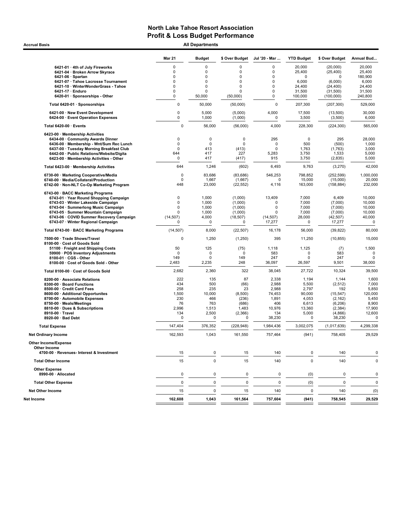Accrual Basis **Accrual Basis All Departments** 

|                                                                                      | <b>Mar 21</b> | <b>Budget</b>  | \$ Over Budget     | Jul '20 - Mar | <b>YTD Budget</b> | \$ Over Budget      | Annual Bud      |
|--------------------------------------------------------------------------------------|---------------|----------------|--------------------|---------------|-------------------|---------------------|-----------------|
| 6421-01 · 4th of July Fireworks                                                      | $\mathbf 0$   | $\mathbf 0$    | $\Omega$           | 0             | 20.000            | (20,000)            | 20,000          |
| 6421-04 · Broken Arrow Skyrace                                                       | $\mathbf 0$   | $\mathbf 0$    | $\mathbf 0$        | 0             | 25,400            | (25, 400)           | 25,400          |
| $6421-06 \cdot$ Spartan                                                              | $\Omega$      | $\mathbf 0$    | $\mathbf 0$        | 0             | 0                 | 0                   | 180,900         |
| 6421-07 · Tahoe Lacrosse Tournament                                                  | $\mathbf 0$   | $\mathbf 0$    | 0                  | 0             | 6,000             | (6,000)             | 6,000           |
| 6421-10 · WinterWonderGrass - Tahoe                                                  | 0             | $\mathbf 0$    | 0                  | 0             | 24,400            | (24, 400)           | 24,400          |
| 6421-17 · Enduro                                                                     | 0             | $\mathbf 0$    | $\Omega$           | 0             | 31,500            | (31,500)            | 31,500          |
| 6420-01 · Sponsorships - Other                                                       | $\mathbf 0$   | 50,000         | (50,000)           | 0             | 100,000           | (100, 000)          | 240,800         |
| Total 6420-01 · Sponsorships                                                         | 0             | 50,000         | (50,000)           | $\mathbf 0$   | 207,300           | (207, 300)          | 529,000         |
| 6421-00 · New Event Development<br>6424-00 · Event Operation Expenses                | 0<br>0        | 5,000<br>1,000 | (5,000)<br>(1,000) | 4,000<br>0    | 17,500<br>3,500   | (13,500)<br>(3,500) | 30,000<br>6,000 |
| Total 6420-00 · Events                                                               | 0             | 56,000         | (56,000)           | 4,000         | 228,300           | (224, 300)          | 565,000         |
| 6423-00 · Membership Activities                                                      |               |                |                    |               |                   |                     |                 |
| 6434-00 · Community Awards Dinner                                                    | 0             | $\mathbf 0$    | $\mathbf 0$        | 295           | 0                 | 295                 | 28,000          |
| 6436-00 · Membership - Wnt/Sum Rec Lunch                                             | 0             | $\mathbf 0$    | $\Omega$           | $\mathbf 0$   | 500               | (500)               | 1,000           |
| 6437-00 · Tuesday Morning Breakfast Club                                             | $\mathbf 0$   | 413            | (413)              | $\mathbf 0$   | 1,763             | (1,763)             | 3,000           |
| 6442-00 · Public Relations/Website/Digita<br>6423-00 · Membership Activities - Other | 644<br>0      | 417<br>417     | 227<br>(417)       | 5,283<br>915  | 3,750<br>3,750    | 1,533<br>(2,835)    | 5,000<br>5,000  |
| Total 6423-00 · Membership Activities                                                | 644           | 1,246          | (602)              | 6,493         | 9,763             | (3,270)             | 42,000          |
| 6730-00 · Marketing Cooperative/Media                                                | 0             | 83,686         | (83, 686)          | 546,253       | 798,852           | (252, 599)          | 1,000,000       |
| 6740-00 · Media/Collateral/Production                                                | 0             | 1,667          | (1,667)            | $\Omega$      | 15,000            | (15,000)            | 20,000          |
| 6742-00 · Non-NLT Co-Op Marketing Program                                            | 448           | 23,000         | (22, 552)          | 4,116         | 163,000           | (158, 884)          | 232,000         |
| 6743-00 · BACC Marketing Programs                                                    |               |                |                    |               |                   |                     |                 |
| 6743-01 · Year Round Shopping Campaign                                               | 0             | 1,000          | (1,000)            | 13,409        | 7,000             | 6,409               | 10,000          |
| 6743-03 · Winter Lakeside Campaign                                                   | 0             | 1,000          | (1,000)            | $\mathbf 0$   | 7,000             | (7,000)             | 10,000          |
| 6743-04 · Summerlong Music Campaign                                                  | 0             | 1,000          | (1,000)            | $\mathbf 0$   | 7,000             | (7,000)             | 10,000          |
| 6743-05 · Summer Mountain Campaign                                                   | 0             | 1,000          | (1,000)            | $\mathbf 0$   | 7,000             | (7,000)             | 10,000          |
| 6743-06 · COVID Summer Recovery Campaign                                             | (14, 507)     | 4,000          | (18, 507)          | (14, 507)     | 28,000            | (42, 507)           | 40,000          |
| 6743-07 · Winter Regional Campaign                                                   | 0             | $\mathbf 0$    | $\mathbf 0$        | 17,277        | 0                 | 17,277              | $\mathbf 0$     |
| Total 6743-00 · BACC Marketing Programs                                              | (14, 507)     | 8,000          | (22, 507)          | 16,178        | 56,000            | (39, 822)           | 80,000          |
| 7500-00 · Trade Shows/Travel<br>8100-00 · Cost of Goods Sold                         | 0             | 1,250          | (1,250)            | 395           | 11,250            | (10, 855)           | 15,000          |
| 51100 · Freight and Shipping Costs                                                   | 50            | 125            | (75)               | 1,118         | 1,125             | (7)                 | 1,500           |
| 59900 · POS Inventory Adjustments                                                    | $\mathbf 0$   | $\mathbf 0$    | $\mathbf 0$        | 583           | 0                 | 583                 | $\mathbf 0$     |
| 8100-01 · CGS - Other                                                                | 149           | 0              | 149                | 247           | 0                 | 247                 | 0               |
| 8100-00 · Cost of Goods Sold - Other                                                 | 2,483         | 2,235          | 248                | 36,097        | 26,597            | 9,501               | 38,000          |
| Total 8100-00 · Cost of Goods Sold                                                   | 2,682         | 2,360          | 322                | 38,045        | 27,722            | 10,324              | 39,500          |
| 8200-00 · Associate Relations                                                        | 222           | 135            | 87                 | 2,338         | 1,194             | 1,144               | 1,600           |
| 8300-00 · Board Functions                                                            | 434           | 500            | (66)               | 2,988         | 5,500             | (2,512)             | 7,000           |
| 8500-00 · Credit Card Fees                                                           | 258           | 235            | 23                 | 2,988         | 2,797             | 192                 | 5,850           |
| 8600-00 · Additional Opportunites                                                    | 1,500         | 10,000         | (8,500)            | 74,453        | 90,000            | (15, 547)           | 120,000         |
| 8700-00 · Automobile Expenses                                                        | 230           | 466            | (236)              | 1,891         | 4,053             | (2, 162)            | 5,450           |
| 8750-00 · Meals/Meetings                                                             | 76            | 763            | (686)              | 406           | 6,613             | (6, 206)            | 8,900           |
| 8810-00 · Dues & Subscriptions                                                       | 2,996         | 1,513          | 1,483              | 10,976        | 13,360            | (2, 384)            | 17,900          |
| 8910-00 · Travel                                                                     | 134           | 2,500          | (2,366)            | 134           | 5,000             | (4,866)             | 12,600          |
| 8920-00 · Bad Debt                                                                   | 0             | $\mathbf 0$    | 0                  | 38,230        | $\mathbf 0$       | 38,230              | 0               |
| <b>Total Expense</b>                                                                 | 147,404       | 376,352        | (228, 948)         | 1,984,436     | 3,002,075         | (1,017,639)         | 4,299,338       |
| <b>Net Ordinary Income</b>                                                           | 162,593       | 1,043          | 161,550            | 757,464       | (941)             | 758,405             | 29,529          |
| <b>Other Income/Expense</b><br>Other Income                                          |               |                |                    |               |                   |                     |                 |
| 4700-00 · Revenues- Interest & Investment                                            | 15            | 0              | 15                 | 140           | 0                 | 140                 | 0               |
| <b>Total Other Income</b>                                                            | 15            | $\mathbf 0$    | 15                 | 140           | $\mathbf 0$       | 140                 | 0               |
| <b>Other Expense</b><br>8990-00 · Allocated                                          | 0             | 0              | 0                  | 0             | (0)               | 0                   | 0               |
| <b>Total Other Expense</b>                                                           | 0             | $\mathbf 0$    | $\pmb{0}$          | 0             | (0)               | 0                   | $\mathbf 0$     |
| <b>Net Other Income</b>                                                              | 15            | 0              | 15                 | 140           | 0                 | 140                 | (0)             |
|                                                                                      |               |                |                    |               |                   |                     |                 |
| Net Income                                                                           | 162,608       | 1,043          | 161,564            | 757,604       | (941)             | 758,545             | 29,529          |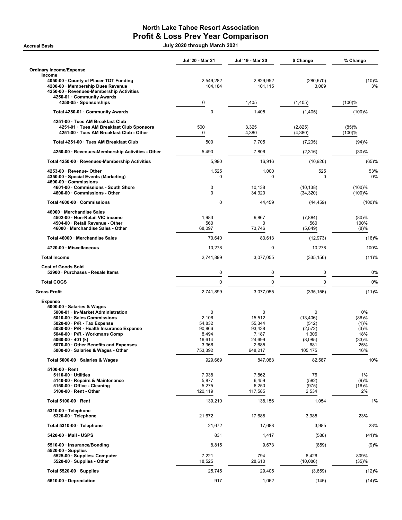## North Lake Tahoe Resort Association Profit & Loss Prev Year Comparison

Accrual Basis July 2020 through March 2021

|                                                                                                                                                                                                                                                       | Jul '20 - Mar 21                                                 | Jul '19 - Mar 20                                                  | \$ Change                                                            | % Change                                            |
|-------------------------------------------------------------------------------------------------------------------------------------------------------------------------------------------------------------------------------------------------------|------------------------------------------------------------------|-------------------------------------------------------------------|----------------------------------------------------------------------|-----------------------------------------------------|
| <b>Ordinary Income/Expense</b>                                                                                                                                                                                                                        |                                                                  |                                                                   |                                                                      |                                                     |
| Income<br>4050-00 · County of Placer TOT Funding<br>4200-00 · Membership Dues Revenue<br>4250-00 · Revenues-Membership Activities                                                                                                                     | 2,549,282<br>104,184                                             | 2,829,952<br>101,115                                              | (280, 670)<br>3,069                                                  | (10)%<br>3%                                         |
| 4250-01 · Community Awards<br>4250-05 · Sponsorships                                                                                                                                                                                                  | 0                                                                | 1,405                                                             | (1, 405)                                                             | (100)%                                              |
| Total 4250-01 · Community Awards                                                                                                                                                                                                                      | $\mathbf 0$                                                      | 1,405                                                             | (1,405)                                                              | (100)%                                              |
| 4251-00 · Tues AM Breakfast Club                                                                                                                                                                                                                      |                                                                  |                                                                   |                                                                      |                                                     |
| 4251-01 · Tues AM Breakfast Club Sponsors<br>4251-00 · Tues AM Breakfast Club - Other                                                                                                                                                                 | 500<br>0                                                         | 3,325<br>4,380                                                    | (2,825)<br>(4, 380)                                                  | (85)%<br>(100)%                                     |
| Total 4251-00 · Tues AM Breakfast Club                                                                                                                                                                                                                | 500                                                              | 7,705                                                             | (7, 205)                                                             | (94)%                                               |
| 4250-00 · Revenues-Membership Activities - Other                                                                                                                                                                                                      | 5,490                                                            | 7,806                                                             | (2,316)                                                              | (30)%                                               |
| Total 4250-00 · Revenues-Membership Activities                                                                                                                                                                                                        | 5,990                                                            | 16,916                                                            | (10, 926)                                                            | (65)%                                               |
| 4253-00 · Revenue- Other<br>4350-00 · Special Events (Marketing)<br>4600-00 · Commissions                                                                                                                                                             | 1,525<br>0                                                       | 1,000<br>0                                                        | 525<br>0                                                             | 53%<br>0%                                           |
| 4601-00 · Commissions - South Shore<br>4600-00 · Commissions - Other                                                                                                                                                                                  | $\pmb{0}$<br>$\mathbf 0$                                         | 10,138<br>34,320                                                  | (10, 138)<br>(34, 320)                                               | (100)%<br>(100)%                                    |
| Total 4600-00 · Commissions                                                                                                                                                                                                                           | $\mathbf 0$                                                      | 44,459                                                            | (44, 459)                                                            | (100)%                                              |
| 46000 · Merchandise Sales<br>4502-00 · Non-Retail VIC income<br>4504-00 · Retail Revenue - Other<br>46000 · Merchandise Sales - Other                                                                                                                 | 1,983<br>560<br>68,097                                           | 9,867<br>$\mathbf 0$<br>73,746                                    | (7, 884)<br>560<br>(5,649)                                           | (80)%<br>100%<br>(8)%                               |
| Total 46000 Merchandise Sales                                                                                                                                                                                                                         | 70,640                                                           | 83,613                                                            | (12, 973)                                                            | (16)%                                               |
| 4720-00 · Miscellaneous                                                                                                                                                                                                                               | 10,278                                                           | $\pmb{0}$                                                         | 10,278                                                               | 100%                                                |
| <b>Total Income</b>                                                                                                                                                                                                                                   | 2,741,899                                                        | 3,077,055                                                         | (335, 156)                                                           | (11)%                                               |
| <b>Cost of Goods Sold</b><br>52900 · Purchases - Resale Items                                                                                                                                                                                         | $\mathbf 0$                                                      | $\mathbf 0$                                                       | 0                                                                    | 0%                                                  |
| <b>Total COGS</b>                                                                                                                                                                                                                                     | $\mathbf 0$                                                      | $\mathbf 0$                                                       | $\mathbf 0$                                                          | 0%                                                  |
| <b>Gross Profit</b>                                                                                                                                                                                                                                   | 2,741,899                                                        | 3,077,055                                                         | (335, 156)                                                           | (11)%                                               |
| <b>Expense</b><br>5000-00 · Salaries & Wages<br>5000-01 · In-Market Administration                                                                                                                                                                    | $\mathbf 0$                                                      | 0                                                                 | 0                                                                    | 0%                                                  |
| 5010-00 · Sales Commissions<br>$5020-00 \cdot P/R$ - Tax Expense<br>5030-00 · P/R - Health Insurance Expense<br>5040-00 · P/R - Workmans Comp<br>5060-00 $\cdot$ 401 (k)<br>5070-00 Other Benefits and Expenses<br>5000-00 · Salaries & Wages - Other | 2,106<br>54,832<br>90,866<br>8,494<br>16,614<br>3,366<br>753,392 | 15,512<br>55.344<br>93,438<br>7,187<br>24,699<br>2,685<br>648,217 | (13, 406)<br>(512)<br>(2, 572)<br>1,306<br>(8,085)<br>681<br>105,175 | (86)%<br>(1)%<br>(3)%<br>18%<br>(33)%<br>25%<br>16% |
| Total 5000-00 · Salaries & Wages                                                                                                                                                                                                                      | 929,669                                                          | 847,083                                                           | 82,587                                                               | 10%                                                 |
| $5100-00 \cdot$ Rent<br>$5110-00 \cdot$ Utilities<br>5140-00 · Repairs & Maintenance<br>5150-00 · Office - Cleaning<br>5100-00 · Rent - Other                                                                                                         | 7,938<br>5,877<br>5,275<br>120,119                               | 7,862<br>6,459<br>6,250<br>117,585                                | 76<br>(582)<br>(975)<br>2,534                                        | 1%<br>(9)%<br>(16)%<br>2%                           |
| Total 5100-00 · Rent                                                                                                                                                                                                                                  | 139,210                                                          | 138,156                                                           | 1,054                                                                | 1%                                                  |
| 5310-00 · Telephone<br>5320-00 · Telephone                                                                                                                                                                                                            | 21,672                                                           | 17,688                                                            | 3,985                                                                | 23%                                                 |
| Total 5310-00 · Telephone                                                                                                                                                                                                                             | 21,672                                                           | 17,688                                                            | 3,985                                                                | 23%                                                 |
| 5420-00 · Mail - USPS                                                                                                                                                                                                                                 | 831                                                              | 1,417                                                             | (586)                                                                | (41)%                                               |
| 5510-00 · Insurance/Bonding                                                                                                                                                                                                                           | 8,815                                                            | 9,673                                                             | (859)                                                                | (9)%                                                |
| $5520-00 \cdot$ Supplies<br>5525-00 · Supplies- Computer<br>5520-00 · Supplies - Other                                                                                                                                                                | 7,221<br>18,525                                                  | 794<br>28,610                                                     | 6,426<br>(10,086)                                                    | 809%<br>(35)%                                       |
| Total 5520-00 · Supplies                                                                                                                                                                                                                              | 25,745                                                           | 29,405                                                            | (3,659)                                                              | (12)%                                               |
| 5610-00 · Depreciation                                                                                                                                                                                                                                | 917                                                              | 1,062                                                             | (145)                                                                | (14)%                                               |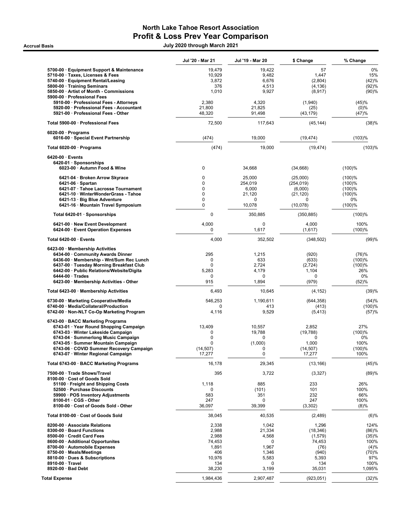## North Lake Tahoe Resort Association Profit & Loss Prev Year Comparison

Accrual Basis July 2020 through March 2021

|                                                                                                                            | Jul '20 - Mar 21          | Jul '19 - Mar 20          | \$ Change                    | % Change                  |
|----------------------------------------------------------------------------------------------------------------------------|---------------------------|---------------------------|------------------------------|---------------------------|
| 5700-00 · Equipment Support & Maintenance<br>5710-00 · Taxes, Licenses & Fees<br>5740-00 · Equipment Rental/Leasing        | 19,479<br>10,929<br>3,872 | 19,422<br>9,482<br>6,676  | 57<br>1.447<br>(2,804)       | 0%<br>15%<br>(42)%        |
| 5800-00 · Training Seminars<br>5850-00 · Artist of Month - Commissions<br>5900-00 · Professional Fees                      | 376<br>1,010              | 4,513<br>9,927            | (4, 136)<br>(8, 917)         | (92)%<br>(90)%            |
| 5910-00 · Professional Fees - Attorneys<br>5920-00 · Professional Fees - Accountant<br>5921-00 · Professional Fees - Other | 2,380<br>21,800<br>48,320 | 4,320<br>21,825<br>91,498 | (1,940)<br>(25)<br>(43, 179) | (45)%<br>$(0)\%$<br>(47)% |
| Total 5900-00 · Professional Fees                                                                                          | 72,500                    | 117,643                   | (45, 144)                    | (38)%                     |
| $6020-00 \cdot$ Programs<br>6016-00 · Special Event Partnership                                                            | (474)                     | 19,000                    | (19, 474)                    | (103)%                    |
| Total 6020-00 · Programs                                                                                                   | (474)                     | 19,000                    | (19, 474)                    | (103)%                    |
| $6420-00 \cdot$ Events<br>6420-01 · Sponsorships<br>6023-00 · Autumn Food & Wine                                           | 0                         | 34,668                    | (34, 668)                    | (100)%                    |
| 6421-04 · Broken Arrow Skyrace                                                                                             | $\mathbf 0$               | 25,000                    | (25,000)                     | (100)%                    |
| $6421-06 \cdot$ Spartan<br>6421-07 · Tahoe Lacrosse Tournament                                                             | 0<br>$\mathbf 0$          | 254,019<br>6,000          | (254, 019)<br>(6,000)        | (100)%<br>(100)%          |
| 6421-10 · WinterWonderGrass - Tahoe                                                                                        | $\mathbf 0$               | 21,120                    | (21, 120)                    | (100)%                    |
| 6421-13 · Big Blue Adventure<br>6421-16 · Mountain Travel Symposium                                                        | $\mathbf 0$<br>0          | 0<br>10,078               | 0<br>(10,078)                | 0%<br>(100)%              |
| Total 6420-01 · Sponsorships                                                                                               | 0                         | 350,885                   | (350, 885)                   | (100)%                    |
| 6421-00 · New Event Development<br>6424-00 · Event Operation Expenses                                                      | 4,000<br>0                | $\mathbf 0$<br>1,617      | 4,000<br>(1,617)             | 100%<br>(100)%            |
| Total 6420-00 · Events                                                                                                     | 4,000                     | 352,502                   | (348, 502)                   | (99)%                     |
| 6423-00 · Membership Activities<br>6434-00 Community Awards Dinner                                                         | 295                       | 1,215                     | (920)                        | (76)%                     |
| 6436-00 · Membership - Wnt/Sum Rec Lunch                                                                                   | 0                         | 633                       | (633)                        | (100)%                    |
| 6437-00 · Tuesday Morning Breakfast Club<br>6442-00 · Public Relations/Website/Digita                                      | 0<br>5,283                | 2,724<br>4,179            | (2,724)<br>1,104             | (100)%<br>26%             |
| $6444-00 \cdot Trades$                                                                                                     | $\mathbf 0$               | 0                         | 0                            | 0%                        |
| 6423-00 · Membership Activities - Other                                                                                    | 915                       | 1,894                     | (979)                        | (52)%                     |
| Total 6423-00 · Membership Activities                                                                                      | 6,493                     | 10,645                    | (4, 152)                     | (39)%                     |
| 6730-00 · Marketing Cooperative/Media<br>6740-00 · Media/Collateral/Production                                             | 546,253<br>0              | 1,190,611<br>413          | (644, 358)<br>(413)          | (54)%<br>(100)%           |
| 6742-00 · Non-NLT Co-Op Marketing Program                                                                                  | 4,116                     | 9,529                     | (5, 413)                     | (57)%                     |
| 6743-00 · BACC Marketing Programs<br>6743-01 · Year Round Shopping Campaign                                                | 13,409                    | 10,557                    | 2,852                        | 27%                       |
| 6743-03 · Winter Lakeside Campaign                                                                                         | 0<br>0                    | 19,788<br>0               | (19,788)<br>0                | (100)%<br>0%              |
| 6743-04 · Summerlong Music Campaign<br>6743-05 · Summer Mountain Campaign                                                  | 0                         | (1,000)                   | 1,000                        | 100%                      |
| 6743-06 · COVID Summer Recovery Campaign<br>6743-07 · Winter Regional Campaign                                             | (14, 507)<br>17,277       | 0<br>$\mathbf 0$          | (14, 507)<br>17,277          | (100)%<br>100%            |
| Total 6743-00 · BACC Marketing Programs                                                                                    | 16,178                    | 29,345                    | (13, 166)                    | (45)%                     |
| 7500-00 · Trade Shows/Travel                                                                                               | 395                       | 3,722                     | (3,327)                      | (89)%                     |
| 8100-00 · Cost of Goods Sold<br>51100 · Freight and Shipping Costs                                                         | 1,118                     | 885                       | 233                          | 26%                       |
| 52500 · Purchase Discounts                                                                                                 | 0                         | (101)                     | 101                          | 100%                      |
| 59900 · POS Inventory Adjustments<br>8100-01 · CGS - Other                                                                 | 583<br>247                | 351<br>0                  | 232<br>247                   | 66%<br>100%               |
| 8100-00 · Cost of Goods Sold - Other                                                                                       | 36,097                    | 39,399                    | (3,302)                      | (8)%                      |
| Total 8100-00 · Cost of Goods Sold                                                                                         | 38,045                    | 40,535                    | (2,489)                      | (6)%                      |
| 8200-00 Associate Relations<br>8300-00 · Board Functions                                                                   | 2,338<br>2,988            | 1,042<br>21,334           | 1,296                        | 124%<br>(86)%             |
| 8500-00 · Credit Card Fees                                                                                                 | 2,988                     | 4,568                     | (18, 346)<br>(1,579)         | (35)%                     |
| 8600-00 · Additional Opportunites<br>8700-00 · Automobile Expenses                                                         | 74,453<br>1,891           | 0<br>1,967                | 74,453<br>(76)               | 100%<br>(4)%              |
| 8750-00 · Meals/Meetings                                                                                                   | 406                       | 1,346                     | (940)                        | (70)%                     |
| 8810-00 · Dues & Subscriptions<br>8910-00 · Travel                                                                         | 10,976<br>134             | 5,583<br>0                | 5,393<br>134                 | 97%<br>100%               |
| 8920-00 · Bad Debt                                                                                                         | 38,230                    | 3,199                     | 35,031                       | 1,095%                    |
| <b>Total Expense</b>                                                                                                       | 1,984,436                 | 2,907,487                 | (923, 051)                   | (32)%                     |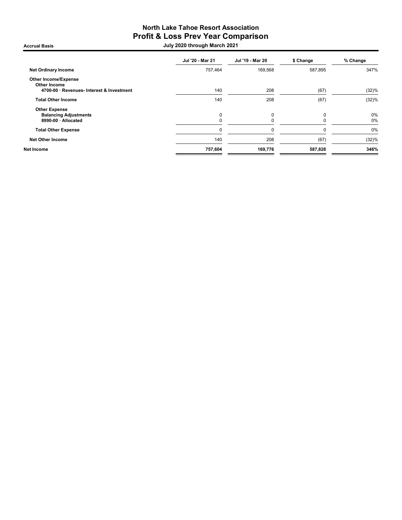## North Lake Tahoe Resort Association Profit & Loss Prev Year Comparison

Accrual Basis July 2020 through March 2021

|                                                    | Jul '20 - Mar 21 | Jul '19 - Mar 20 | \$ Change | % Change |
|----------------------------------------------------|------------------|------------------|-----------|----------|
| <b>Net Ordinary Income</b>                         | 757,464          | 169,568          | 587,895   | 347%     |
| <b>Other Income/Expense</b><br><b>Other Income</b> |                  |                  |           |          |
| 4700-00 · Revenues- Interest & Investment          | 140              | 208              | (67)      | (32)%    |
| <b>Total Other Income</b>                          | 140              | 208              | (67)      | (32)%    |
| <b>Other Expense</b>                               |                  |                  |           |          |
| <b>Balancing Adjustments</b>                       | 0                | 0                | O         | 0%       |
| 8990-00 · Allocated                                |                  |                  |           | 0%       |
| <b>Total Other Expense</b>                         |                  | $\Omega$         |           | 0%       |
| <b>Net Other Income</b>                            | 140              | 208              | (67)      | (32)%    |
| Net Income                                         | 757,604          | 169,776          | 587,828   | 346%     |
|                                                    |                  |                  |           |          |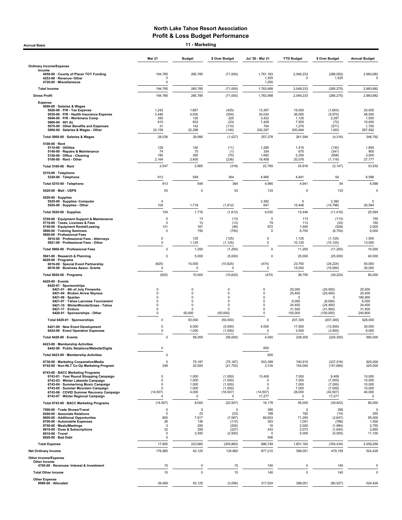Accrual Basis 11 - Marketing

Mar 21 Budget \$ Over Budget Jul '20 - Mar 21 YTD Budget \$ Over Budget Annual Budget Ordinary Income/Expense Income 4050-00 · County of Placer TOT Funding 194,785 265,785 (71,000) 1,761,183 2,049,233 (288,050) 2,983,682 4253-00 · Revenue- Other 0 1,525 0 1,525 0 4720-00 · Miscellaneous 0 1,250 Total Income 194,785 265,785 (71,000) 1,763,958 2,049,233 (285,275) 2,983,682 Gross Profit 194,785 265,785 (71,000) 1,763,958 2,049,233 (285,275) 2,983,682 Expense 5000-00 · Salaries & Wages 5020-00 · P/R - Tax Expense 1,242 1,667 (425) 13,397 15,000 (1,603) 20,000 5030-00 · P/R - Health Insurance Expense 3,446 4,000 (554) 30,030 36,000 (5,970) 48,000 5040-00 · P/R - Workmans Comp 350 125 225 3,422 1,125 2,297 1,500 5060-00 · 401 (k) 810 833 (23) 7,428 7,500 (72) 10,000 5070-00 · Other Benefits and Expenses 31 142 (110) 704 1,275 (571) 1,700 5000-00 · Salaries & Wages - Other 22,159 22,299 (140) 202,297 200,694 1,603 267,592 Total 5000-00 · Salaries & Wages 28,039 29,066 (1,027) 257,278 261,594 (4,316) 348,792 5100-00 · Rent 5110-00 · Utilities (130) 1,29 129 1,295 1,285 1,415 (130) 1,855 1,415 (130) 1,855<br>5140-00 · Repairs & Maintenance 1,855 74 75 (1) 334 675 (341) 900 5150-00 · Office - Cleaning 180 250 (70) 1,692 2,250 (558) 3,000 5100-00 · Chicc - Olcu<br>2,100-00 · Rent - Other Total 5100-00 · Rent 2,547 2,865 (318) 22,769 24,916 (2,147) 33,532 5310-00 · Telephone 5320-00 · Telephone 913 549 364 4,995 4,941 54 6,588 Total 5310-00 · Telephone 913 549 364 4,995 4,941 54 6,588 5420-00 · Mail - USPS 53 0 53 133 0 133 0 5520-00 · Supplies 5525-00 · Supplies- Computer 0 3,382 0 3,382 0 5520-00 · Supplies - Other 104 1,716 (1,612) 647 15,446 (14,798) 20,594 Total 5520-00 · Supplies 104 1,716 (1,612) 4,030 15,446 (11,416) 20,594 5700-00 · Equipment Support & Maintenance 0 13 (13) 0 113 (113) 150 5710-00 · Taxes, Licenses & Fees 0 13 (13) 79 113 (33) 150 5740-00 · Equipment Rental/Leasing 121 167 (46) 972 1,500 (528) 2,000 5800-00 · Training Seminars 0 750 (750) 0 6,750 (6,750) 9,000 5900-00 · Professional Fees 5910-00 · Professional Fees - Attorneys 0 125 (125) 0 1,125 (1,125) 1,500 5921-00 · Professional Fees - Other Total 5900-00 · Professional Fees 0 1,250 (1,250) 0 11,250 (11,250) 15,000 5941-00 · Research & Planning 0 5,000 (5,000) 0 25,000 (25,000) 40,000 6020-00 · Programs 6016-00 · Special Event Partnership (625) 10,000 (10,625) (474) 23,750 (24,224) 50,000 6018-00 · Business Assoc. Grants 0 0 0 0 15,000 (15,000) 30,000 Total 6020-00 · Programs (625) 10,000 (10,625) (474) 38,750 (39,224) 80,000 6420-00 · Events 6420-01 · Sponsorships 6421-01 · 4th of July Fireworks 0 0 0 0 20,000 (20,000) 20,000 6421-04 · Broken Arrow Skyrace 0 0 0 0 25,400 (25,400) 25,400 6421-06 · Spartan 0 0 0 0 0 0 180,900 64**21-07 · Tahoe Lacrosse Tournament** 0 0 0 0 0 0 0 6,000 (6,000) 6,000 6,000 6,000 6,000<br>**6421-07 · Tahoe Lacrosse Tournament** 0 0 0 0 0 0 24,400 (24,400 (26,400 f) 24,400 (3,100) 2,400 (3,100) 2,400<br>**6421-17 · Enduro** ( 6421-10 · WinterWonderGrass - Tahoe 0 0 0 0 24,400 (24,400) 24,400 6421-17 · Enduro 0 0 0 0 31,500 (31,500) 31,500 6420-01 · Sponsorships - Other 0 50,000 (50,000) 0 100,000 (100,000) 240,800 Total 6420-01 · Sponsorships 0 50,000 (50,000) 0 207,300 (207,300) 529,000 6421-00 · New Event Development 0 5,000 (5,000) 4,000 17,500 (13,500) 30,000 6424-00 · Event Operation Expenses Total 6420-00 · Events 0 56,000 (56,000) 4,000 228,300 (224,300) 565,000 6423-00 · Membership Activities 6442-00 · Public Relations/Website/Digita 0 600 Total 6423-00 · Membership Activities 600 **600 600 600 600 600 600 600 600 600 600 600 600 600 600 600 600 600 600 600 600 600 600 600 600 600 600 600 600 600 600** 6730-00 · Marketing Cooperative/Media 0 75,187 (75,187) 503,399 740,915 (237,516) 925,000 6742-00 · Non-NLT Co-Op Marketing Program 248 22,000 (21,752) 2,316 154,000 (151,684) 220,000 6743-00 · BACC Marketing Programs 6743-01 · Year Round Shopping Campaign 0 1,000 (1,000) 13,409 7,000 6,409 10,000 6743-03 · Winter Lakeside Campaign 0 1,000 (1,000) 0 7,000 (7,000) 10,000 6743-04 · Summerlong Music Campaign 0 1,000 (1,000) 0 7,000 (7,000) 10,000 6743-05 · Summer Mountain Campaign 0 1,000 (1,000) 0 7,000 (7,000) 10,000 6743-06 · COVID Summer Recovery Campaign (14,507) 4,000 (18,507) (14,507) 28,000 (42,507) 40,000 6743-07 · Winter Regional Campaign 0 0 0 17,277 0 17,277 0 Total 6743-00 · BACC Marketing Programs (14,507) 8,000 (22,507) 16,178 56,000 (39,822) 80,000 7500-00 · Trade Shows/Travel 0 0 0 395 0 395 0 8200-00 · Associate Relations 0 23 (23) 168 182 (14) 250 8600-00 · Additional Opportunites 850 7,917 (7,067) 68,603 71,250 (2,647) 95,000 8700-00 · Automobile Expenses 26 26 136 (110) 303 1,091 (789) (788) 1,500<br>1876-00 · Meals/Meetrings 1,600 250 270 (110) 2,500 (250) 16 2,000 (1,884) 2,703 (1,884) 2,703 2,703 (1,894) 2,750<br>18910-00 · Travel . 2010 2,850 (2 8750-00 · Meals/Meetings 0 250 (250) 16 2,000 (1,984) 2,750 8810-00 · Dues & Subscriptions 32 259 (227) 433 2,073 (1,640) 2,850 8910-00 · Travel 0 2,500 (2,500) 0 5,000 (5,000) 11,100 8920-00 · Bad Debt 0 556 Total Expense 17,800 223,660 (205,860) 886,749 1,651,182 (764,434) 2,459,256 09 Net Ordinary Income 176,985 42,125 42,125 434,860 877,210 398,051 479,159 524,426 42,125 Other Income/Expense

non moon.<br>4700-00 · Revenues- Interest & Investment 15 15 15 0 15 140 0 15 140 0 15 140 0 140 0 140 0 140 0 0 140 0 0 15

Other Income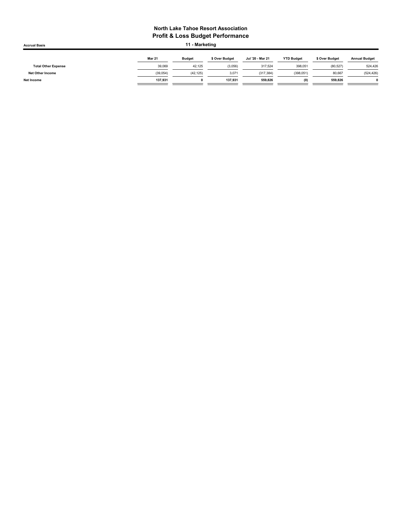| <b>Accrual Basis</b>       |               | 11 - Marketing |                |                  |                   |                |                      |
|----------------------------|---------------|----------------|----------------|------------------|-------------------|----------------|----------------------|
|                            | <b>Mar 21</b> | <b>Budget</b>  | \$ Over Budget | Jul '20 - Mar 21 | <b>YTD Budget</b> | \$ Over Budget | <b>Annual Budget</b> |
| <b>Total Other Expense</b> | 39,069        | 42.125         | (3,056)        | 317.524          | 398,051           | (80, 527)      | 524,426              |
| <b>Net Other Income</b>    | (39,054)      | (42, 125)      | 3,071          | (317, 384)       | (398, 051)        | 80,667         | (524, 426)           |
| Net Income                 | 137.931       | 0              | 137.931        | 559.826          | (0)               | 559.826        |                      |
|                            |               |                |                |                  |                   |                |                      |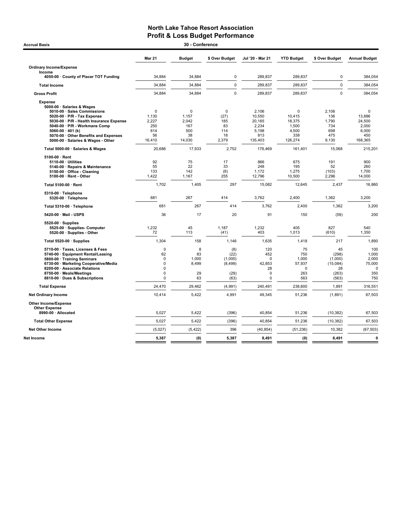## North Lake Tahoe Resort Association **Profit & Loss Budget Performance**<br>30 - Conference

| <b>Accrual Basis</b>                                                                                                                                                                                                                                      |                                                                                        | 30 - Conference                                   |                                                   |                                                                      |                                                          |                                                            |                                                           |
|-----------------------------------------------------------------------------------------------------------------------------------------------------------------------------------------------------------------------------------------------------------|----------------------------------------------------------------------------------------|---------------------------------------------------|---------------------------------------------------|----------------------------------------------------------------------|----------------------------------------------------------|------------------------------------------------------------|-----------------------------------------------------------|
|                                                                                                                                                                                                                                                           | <b>Mar 21</b>                                                                          | <b>Budget</b>                                     | \$ Over Budget                                    | Jul '20 - Mar 21                                                     | <b>YTD Budget</b>                                        | \$ Over Budget                                             | <b>Annual Budget</b>                                      |
| <b>Ordinary Income/Expense</b><br>Income                                                                                                                                                                                                                  |                                                                                        |                                                   |                                                   |                                                                      |                                                          |                                                            |                                                           |
| 4050-00 · County of Placer TOT Funding                                                                                                                                                                                                                    | 34,884                                                                                 | 34,884                                            | $\mathbf 0$                                       | 289,837                                                              | 289,837                                                  | 0                                                          | 384,054                                                   |
| <b>Total Income</b>                                                                                                                                                                                                                                       | 34,884                                                                                 | 34,884                                            | $\mathbf 0$                                       | 289,837                                                              | 289,837                                                  | $\mathbf 0$                                                | 384,054                                                   |
| <b>Gross Profit</b>                                                                                                                                                                                                                                       | 34,884                                                                                 | 34,884                                            | $\Omega$                                          | 289,837                                                              | 289,837                                                  | $\Omega$                                                   | 384,054                                                   |
| <b>Expense</b><br>5000-00 · Salaries & Wages<br>5010-00 · Sales Commissions<br>5020-00 · P/R - Tax Expense<br>5030-00 · P/R - Health Insurance Expense<br>5040-00 · P/R - Workmans Comp<br>5060-00 $\cdot$ 401 (k)<br>5070-00 Other Benefits and Expenses | $\mathbf 0$<br>1,130<br>2.227<br>250<br>614<br>56                                      | $\mathbf 0$<br>1,157<br>2.042<br>167<br>500<br>38 | $\pmb{0}$<br>(27)<br>185<br>83<br>114<br>18       | 2,106<br>10,550<br>20.165<br>2,234<br>5,198<br>813                   | $\mathbf 0$<br>10,415<br>18,375<br>1,500<br>4,500<br>338 | 2,106<br>136<br>1.790<br>734<br>698<br>475                 | $\mathbf 0$<br>13,886<br>24.500<br>2,000<br>6,000<br>450  |
| 5000-00 · Salaries & Wages - Other                                                                                                                                                                                                                        | 16,410                                                                                 | 14,030                                            | 2,379                                             | 135,403                                                              | 126,274                                                  | 9,130                                                      | 168,365                                                   |
| Total 5000-00 · Salaries & Wages                                                                                                                                                                                                                          | 20.686                                                                                 | 17,933                                            | 2.752                                             | 176.469                                                              | 161.401                                                  | 15.068                                                     | 215.201                                                   |
| 5100-00 $\cdot$ Rent<br>$5110-00 \cdot$ Utilities<br>5140-00 · Repairs & Maintenance<br>5150-00 · Office - Cleaning<br>5100-00 · Rent - Other                                                                                                             | 92<br>55<br>133<br>1,422                                                               | 75<br>22<br>142<br>1,167                          | 17<br>33<br>(8)<br>255                            | 866<br>248<br>1,172<br>12,796                                        | 675<br>195<br>1,275<br>10,500                            | 191<br>52<br>(103)<br>2,296                                | 900<br>260<br>1,700<br>14,000                             |
| Total 5100-00 · Rent                                                                                                                                                                                                                                      | 1,702                                                                                  | 1,405                                             | 297                                               | 15,082                                                               | 12,645                                                   | 2,437                                                      | 16,860                                                    |
| 5310-00 · Telephone<br>5320-00 · Telephone                                                                                                                                                                                                                | 681                                                                                    | 267                                               | 414                                               | 3,762                                                                | 2,400                                                    | 1,362                                                      | 3,200                                                     |
| Total 5310-00 · Telephone                                                                                                                                                                                                                                 | 681                                                                                    | 267                                               | 414                                               | 3,762                                                                | 2,400                                                    | 1,362                                                      | 3,200                                                     |
| 5420-00 Mail USPS                                                                                                                                                                                                                                         | 36                                                                                     | 17                                                | 20                                                | 91                                                                   | 150                                                      | (59)                                                       | 200                                                       |
| $5520-00 \cdot$ Supplies<br>5525-00 · Supplies- Computer<br>5520-00 · Supplies - Other                                                                                                                                                                    | 1,232<br>72                                                                            | 45<br>113                                         | 1,187<br>(41)                                     | 1,232<br>403                                                         | 405<br>1,013                                             | 827<br>(610)                                               | 540<br>1,350                                              |
| Total 5520-00 · Supplies                                                                                                                                                                                                                                  | 1,304                                                                                  | 158                                               | 1.146                                             | 1,635                                                                | 1,418                                                    | 217                                                        | 1,890                                                     |
| 5710-00 · Taxes, Licenses & Fees<br>5740-00 · Equipment Rental/Leasing<br>5800-00 · Training Seminars<br>6730-00 · Marketing Cooperative/Media<br>8200-00 · Associate Relations<br>8750-00 · Meals/Meetings<br>8810-00 · Dues & Subscriptions             | $\Omega$<br>62<br>$\mathbf 0$<br>$\mathbf 0$<br>$\Omega$<br>$\mathbf 0$<br>$\mathbf 0$ | 8<br>83<br>1,000<br>8,499<br>29<br>63             | (8)<br>(22)<br>(1,000)<br>(8,499)<br>(29)<br>(63) | 120<br>452<br>$\Omega$<br>42,853<br>28<br>$\mathbf 0$<br>$\mathbf 0$ | 75<br>750<br>1,000<br>57,937<br>0<br>263<br>563          | 45<br>(298)<br>(1,000)<br>(15,084)<br>28<br>(263)<br>(563) | 100<br>1,000<br>2,000<br>75,000<br>$\Omega$<br>350<br>750 |
| <b>Total Expense</b>                                                                                                                                                                                                                                      | 24,470                                                                                 | 29,462                                            | (4,991)                                           | 240,491                                                              | 238,600                                                  | 1,891                                                      | 316,551                                                   |
| <b>Net Ordinary Income</b>                                                                                                                                                                                                                                | 10,414                                                                                 | 5,422                                             | 4,991                                             | 49,345                                                               | 51,236                                                   | (1,891)                                                    | 67,503                                                    |
| Other Income/Expense<br><b>Other Expense</b>                                                                                                                                                                                                              |                                                                                        |                                                   |                                                   |                                                                      |                                                          |                                                            |                                                           |
| 8990-00 · Allocated                                                                                                                                                                                                                                       | 5,027                                                                                  | 5,422                                             | (396)                                             | 40,854                                                               | 51,236                                                   | (10, 382)                                                  | 67,503                                                    |
| <b>Total Other Expense</b>                                                                                                                                                                                                                                | 5,027                                                                                  | 5,422                                             | (396)                                             | 40,854                                                               | 51,236                                                   | (10, 382)                                                  | 67,503                                                    |
| <b>Net Other Income</b>                                                                                                                                                                                                                                   | (5,027)                                                                                | (5, 422)                                          | 396                                               | (40, 854)                                                            | (51, 236)                                                | 10,382                                                     | (67, 503)                                                 |
| <b>Net Income</b>                                                                                                                                                                                                                                         | 5,387                                                                                  | (0)                                               | 5,387                                             | 8,491                                                                | (0)                                                      | 8,491                                                      | $\mathbf 0$                                               |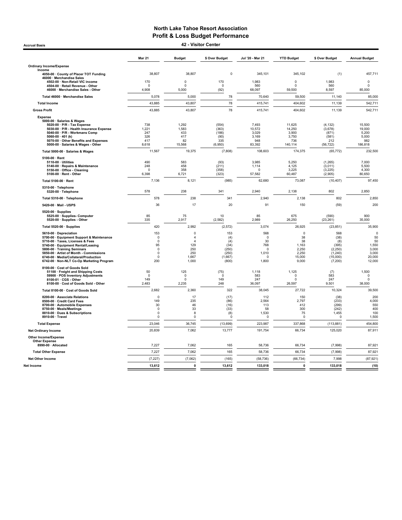Accrual Basis 42 - Visitor Center

|                                                                                                                                                                                                                                                                                                             | <b>Mar 21</b>                                                                  | <b>Budget</b>                                                                 | \$ Over Budget                                                  | Jul '20 - Mar 21                                                            | <b>YTD Budget</b>                                                     | \$ Over Budget                                                              | <b>Annual Budget</b>                                                   |
|-------------------------------------------------------------------------------------------------------------------------------------------------------------------------------------------------------------------------------------------------------------------------------------------------------------|--------------------------------------------------------------------------------|-------------------------------------------------------------------------------|-----------------------------------------------------------------|-----------------------------------------------------------------------------|-----------------------------------------------------------------------|-----------------------------------------------------------------------------|------------------------------------------------------------------------|
| <b>Ordinary Income/Expense</b>                                                                                                                                                                                                                                                                              |                                                                                |                                                                               |                                                                 |                                                                             |                                                                       |                                                                             |                                                                        |
| Income<br>4050-00 · County of Placer TOT Funding                                                                                                                                                                                                                                                            | 38,807                                                                         | 38,807                                                                        | $\mathbf 0$                                                     | 345,101                                                                     | 345,102                                                               | (1)                                                                         | 457,711                                                                |
| 46000 · Merchandise Sales<br>4502-00 · Non-Retail VIC income                                                                                                                                                                                                                                                | 170                                                                            | 0                                                                             | 170                                                             | 1,983                                                                       | $\pmb{0}$                                                             | 1,983                                                                       | $\pmb{0}$                                                              |
| 4504-00 · Retail Revenue - Other                                                                                                                                                                                                                                                                            | n                                                                              | $\Omega$                                                                      | $\Omega$                                                        | 560                                                                         | n                                                                     | 560                                                                         | $\Omega$                                                               |
| 46000 · Merchandise Sales - Other                                                                                                                                                                                                                                                                           | 4,908                                                                          | 5,000                                                                         | (92)                                                            | 68,097                                                                      | 59,500                                                                | 8,597                                                                       | 85,000                                                                 |
| Total 46000 · Merchandise Sales<br><b>Total Income</b>                                                                                                                                                                                                                                                      | 5,078<br>43,885                                                                | 5,000<br>43,807                                                               | 78<br>78                                                        | 70,640<br>415,741                                                           | 59,500<br>404,602                                                     | 11,140<br>11,139                                                            | 85,000<br>542,711                                                      |
| <b>Gross Profit</b>                                                                                                                                                                                                                                                                                         | 43,885                                                                         | 43,807                                                                        | 78                                                              | 415,741                                                                     | 404,602                                                               | 11,139                                                                      | 542,711                                                                |
| Expense                                                                                                                                                                                                                                                                                                     |                                                                                |                                                                               |                                                                 |                                                                             |                                                                       |                                                                             |                                                                        |
| 5000-00 · Salaries & Wages<br>5020-00 · P/R - Tax Expense<br>5030-00 · P/R - Health Insurance Expense<br>5040-00 · P/R - Workmans Comp<br>5060-00 $\cdot$ 401 (k)<br>5070-00 Other Benefits and Expenses<br>5000-00 · Salaries & Wages - Other                                                              | 738<br>1,221<br>247<br>326<br>417<br>8,618                                     | 1,292<br>1,583<br>433<br>417<br>82<br>15,568                                  | (554)<br>(363)<br>(186)<br>(90)<br>335<br>(6,950)               | 7,493<br>10,572<br>3,029<br>3,169<br>948<br>83,392                          | 11,625<br>14,250<br>3,900<br>3,750<br>736<br>140,114                  | (4, 132)<br>(3,678)<br>(871)<br>(581)<br>212<br>(56, 722)                   | 15,500<br>19,000<br>5,200<br>5,000<br>982<br>186,818                   |
| Total 5000-00 · Salaries & Wages                                                                                                                                                                                                                                                                            | 11,567                                                                         | 19,375                                                                        | (7,808)                                                         | 108,603                                                                     | 174,375                                                               | (65, 772)                                                                   | 232,500                                                                |
| $5100-00 \cdot$ Rent<br>5110-00 · Utilities<br>5140-00 · Repairs & Maintenance<br>5150-00 · Office - Cleaning<br>5100-00 · Rent - Other                                                                                                                                                                     | 490<br>248<br>n<br>6.398                                                       | 583<br>458<br>358<br>6,721                                                    | (93)<br>(211)<br>(358)<br>(323)                                 | 3,985<br>1,114<br>$\Omega$<br>57,582                                        | 5,250<br>4,125<br>3,225<br>60.487                                     | (1, 265)<br>(3,011)<br>(3, 225)<br>(2,905)                                  | 7,000<br>5,500<br>4,300<br>80.650                                      |
| Total 5100-00 · Rent                                                                                                                                                                                                                                                                                        | 7,136                                                                          | 8,121                                                                         | (985)                                                           | 62,680                                                                      | 73,087                                                                | (10, 407)                                                                   | 97,450                                                                 |
| 5310-00 · Telephone<br>5320-00 · Telephone                                                                                                                                                                                                                                                                  | 578                                                                            | 238                                                                           | 341                                                             | 2,940                                                                       | 2,138                                                                 | 802                                                                         | 2,850                                                                  |
| Total 5310-00 · Telephone                                                                                                                                                                                                                                                                                   | 578                                                                            | 238                                                                           | 341                                                             | 2,940                                                                       | 2,138                                                                 | 802                                                                         | 2,850                                                                  |
| 5420-00 · Mail - USPS                                                                                                                                                                                                                                                                                       | 36                                                                             | 17                                                                            | 20                                                              | 91                                                                          | 150                                                                   | (59)                                                                        | 200                                                                    |
| 5520-00 · Supplies<br>5525-00 · Supplies- Computer<br>5520-00 · Supplies - Other                                                                                                                                                                                                                            | 85<br>335                                                                      | 75<br>2,917                                                                   | 10<br>(2, 582)                                                  | 85<br>2,989                                                                 | 675<br>26.250                                                         | (590)<br>(23, 261)                                                          | 900<br>35,000                                                          |
| Total 5520-00 · Supplies                                                                                                                                                                                                                                                                                    | 420                                                                            | 2,992                                                                         | (2, 572)                                                        | 3,074                                                                       | 26,925                                                                | (23, 851)                                                                   | 35,900                                                                 |
| 5610-00 · Depreciation<br>5700-00 · Equipment Support & Maintenance<br>5710-00 · Taxes, Licenses & Fees<br>5740-00 · Equipment Rental/Leasing<br>5800-00 Training Seminars<br>5850-00 · Artist of Month - Commissions<br>6740-00 · Media/Collateral/Production<br>6742-00 · Non-NLT Co-Op Marketing Program | 153<br>$^{\circ}$<br>$\Omega$<br>95<br>$\Omega$<br>$\Omega$<br>$\Omega$<br>200 | $\Omega$<br>$\overline{4}$<br>$\Delta$<br>129<br>250<br>250<br>1,667<br>1,000 | 153<br>(4)<br>(4)<br>(34)<br>(250)<br>(250)<br>(1,667)<br>(800) | 568<br>$^{\circ}$<br>30<br>768<br>$\Omega$<br>1,010<br>$\mathbf 0$<br>1,800 | $\mathbf 0$<br>38<br>38<br>1,163<br>2,250<br>2,250<br>15,000<br>9,000 | 568<br>(38)<br>(8)<br>(395)<br>(2, 250)<br>(1, 240)<br>(15,000)<br>(7, 200) | $\mathbf 0$<br>50<br>50<br>1,550<br>3,000<br>3,000<br>20,000<br>12,000 |
| 8100-00 · Cost of Goods Sold<br>51100 · Freight and Shipping Costs<br>59900 · POS Inventory Adjustments<br>8100-01 · CGS - Other<br>8100-00 · Cost of Goods Sold - Other<br>Total 8100-00 · Cost of Goods Sold                                                                                              | 50<br>$\Omega$<br>149<br>2,483                                                 | 125<br>$\mathsf 0$<br>$\mathbf 0$<br>2,235                                    | (75)<br>$\Omega$<br>149<br>248                                  | 1,118<br>583<br>247<br>36,097                                               | 1,125<br>$\Omega$<br>$\Omega$<br>26,597                               | (7)<br>583<br>247<br>9,501                                                  | 1,500<br>$\pmb{0}$<br>$\Omega$<br>38,000                               |
|                                                                                                                                                                                                                                                                                                             | 2,682<br>$\Omega$                                                              | 2,360<br>17                                                                   | 322                                                             | 38,045                                                                      | 27,722<br>150                                                         | 10,324                                                                      | 39,500<br>200                                                          |
| 8200-00 · Associate Relations<br>8500-00 Credit Card Fees<br>8700-00 · Automobile Expenses<br>8750-00 · Meals/Meetings<br>8810-00 · Dues & Subscriptions<br>8910-00 · Travel                                                                                                                                | 149<br>30<br>$\Omega$<br>$\Omega$<br>$\Omega$                                  | 235<br>46<br>33<br>8<br>$\Omega$                                              | (17)<br>(86)<br>(16)<br>(33)<br>(8)<br>$\Omega$                 | 112<br>2,564<br>113<br>58<br>1,530<br>$\Omega$                              | 2,797<br>412<br>300<br>75<br>$\Omega$                                 | (38)<br>(233)<br>(299)<br>(242)<br>1,455<br>$\Omega$                        | 4,000<br>550<br>400<br>100<br>1,500                                    |
| <b>Total Expense</b>                                                                                                                                                                                                                                                                                        | 23,046                                                                         | 36,745                                                                        | (13, 699)                                                       | 223,987                                                                     | 337,868                                                               | (113, 881)                                                                  | 454,800                                                                |
| <b>Net Ordinary Income</b>                                                                                                                                                                                                                                                                                  | 20,839                                                                         | 7,062                                                                         | 13,777                                                          | 191,754                                                                     | 66,734                                                                | 125,020                                                                     | 87,911                                                                 |
| <b>Other Income/Expense</b><br><b>Other Expense</b><br>8990-00 · Allocated                                                                                                                                                                                                                                  | 7,227                                                                          | 7,062                                                                         | 165                                                             | 58,736                                                                      | 66,734                                                                | (7,998)                                                                     | 87,921                                                                 |
| <b>Total Other Expense</b>                                                                                                                                                                                                                                                                                  | 7,227                                                                          | 7,062                                                                         | 165                                                             | 58,736                                                                      | 66,734                                                                | (7,998)                                                                     | 87,921                                                                 |
| <b>Net Other Income</b>                                                                                                                                                                                                                                                                                     | (7, 227)                                                                       | (7,062)                                                                       | (165)                                                           | (58, 736)                                                                   | (66, 734)                                                             | 7,998                                                                       | (87, 921)                                                              |
| Net Income                                                                                                                                                                                                                                                                                                  | 13,612                                                                         | $\mathbf 0$                                                                   | 13,612                                                          | 133,018                                                                     | $\mathbf{0}$                                                          | 133,018                                                                     | (10)                                                                   |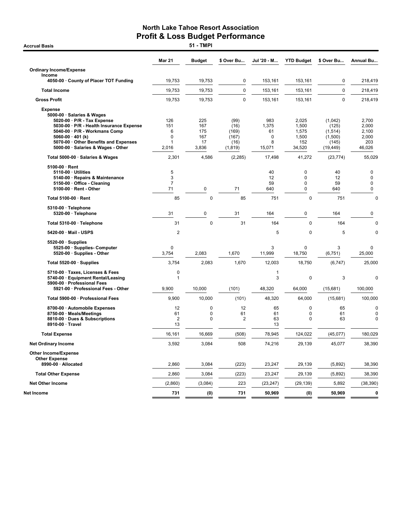**Accrual Basis** 

|                                                                                                                                                                                                                                                                        | <b>Mar 21</b>                      | <b>Budget</b>                           | \$ Over Bu                                         | Jul '20 - M                            | <b>YTD Budget</b>                                        | \$ Over Bu                                                   | Annual Bu                                         |
|------------------------------------------------------------------------------------------------------------------------------------------------------------------------------------------------------------------------------------------------------------------------|------------------------------------|-----------------------------------------|----------------------------------------------------|----------------------------------------|----------------------------------------------------------|--------------------------------------------------------------|---------------------------------------------------|
| <b>Ordinary Income/Expense</b>                                                                                                                                                                                                                                         |                                    |                                         |                                                    |                                        |                                                          |                                                              |                                                   |
| Income<br>4050-00 County of Placer TOT Funding                                                                                                                                                                                                                         | 19,753                             | 19,753                                  | 0                                                  | 153,161                                | 153,161                                                  | 0                                                            | 218,419                                           |
| <b>Total Income</b>                                                                                                                                                                                                                                                    | 19,753                             | 19,753                                  | 0                                                  | 153.161                                | 153,161                                                  | $\mathbf 0$                                                  | 218,419                                           |
| <b>Gross Profit</b>                                                                                                                                                                                                                                                    | 19,753                             | 19,753                                  | $\pmb{0}$                                          | 153,161                                | 153,161                                                  | $\pmb{0}$                                                    | 218,419                                           |
| <b>Expense</b><br>5000-00 · Salaries & Wages<br>$5020-00 \cdot P/R$ - Tax Expense<br>5030-00 · P/R - Health Insurance Expense<br>5040-00 · P/R - Workmans Comp<br>5060-00 $\cdot$ 401 (k)<br>5070-00 Other Benefits and Expenses<br>5000-00 · Salaries & Wages - Other | 126<br>151<br>6<br>0<br>1<br>2,016 | 225<br>167<br>175<br>167<br>17<br>3,836 | (99)<br>(16)<br>(169)<br>(167)<br>(16)<br>(1, 819) | 983<br>1,375<br>61<br>0<br>8<br>15,071 | 2,025<br>1,500<br>1,575<br>1,500<br>152<br>34,520        | (1,042)<br>(125)<br>(1,514)<br>(1,500)<br>(145)<br>(19, 449) | 2,700<br>2,000<br>2,100<br>2,000<br>203<br>46,026 |
| Total 5000-00 · Salaries & Wages                                                                                                                                                                                                                                       | 2,301                              | 4,586                                   | (2, 285)                                           | 17,498                                 | 41,272                                                   | (23, 774)                                                    | 55,029                                            |
| 5100-00 · Rent<br>5110-00 Utilities<br>5140-00 · Repairs & Maintenance<br>5150-00 · Office - Cleaning<br>5100-00 · Rent - Other                                                                                                                                        | 5<br>3<br>7<br>71                  | 0                                       | 71                                                 | 40<br>12<br>59<br>640                  | $\mathbf 0$<br>$\mathbf 0$<br>$\mathbf 0$<br>$\mathbf 0$ | 40<br>12<br>59<br>640                                        | 0<br>$\pmb{0}$<br>$\mathbf 0$<br>$\pmb{0}$        |
| Total 5100-00 · Rent                                                                                                                                                                                                                                                   | 85                                 | 0                                       | 85                                                 | 751                                    | 0                                                        | 751                                                          | $\mathbf 0$                                       |
| 5310-00 · Telephone<br>5320-00 · Telephone                                                                                                                                                                                                                             | 31                                 | 0                                       | 31                                                 | 164                                    | $\mathbf 0$                                              | 164                                                          | $\pmb{0}$                                         |
| Total 5310-00 · Telephone                                                                                                                                                                                                                                              | 31                                 | $\mathbf 0$                             | 31                                                 | 164                                    | $\mathbf 0$                                              | 164                                                          | $\mathbf 0$                                       |
| 5420-00 · Mail - USPS                                                                                                                                                                                                                                                  | $\overline{\mathbf{c}}$            |                                         |                                                    | 5                                      | $\mathbf 0$                                              | 5                                                            | 0                                                 |
| $5520-00 \cdot$ Supplies<br>5525-00 · Supplies- Computer<br>5520-00 · Supplies - Other                                                                                                                                                                                 | 0<br>3,754                         | 2,083                                   | 1,670                                              | 3<br>11,999                            | $\mathbf 0$<br>18,750                                    | 3<br>(6, 751)                                                | $\mathbf 0$<br>25,000                             |
| Total 5520-00 $\cdot$ Supplies                                                                                                                                                                                                                                         | 3,754                              | 2,083                                   | 1,670                                              | 12,003                                 | 18,750                                                   | (6,747)                                                      | 25,000                                            |
| 5710-00 · Taxes, Licenses & Fees<br>5740-00 · Equipment Rental/Leasing<br>5900-00 · Professional Fees<br>5921-00 · Professional Fees - Other                                                                                                                           | 0<br>$\mathbf{1}$<br>9,900         | 10,000                                  | (101)                                              | 1<br>3<br>48,320                       | $\mathbf 0$<br>64,000                                    | 3<br>(15,681)                                                | $\mathbf 0$<br>100,000                            |
| Total 5900-00 · Professional Fees                                                                                                                                                                                                                                      | 9,900                              | 10,000                                  | (101)                                              | 48,320                                 | 64,000                                                   | (15,681)                                                     | 100,000                                           |
| 8700-00 · Automobile Expenses<br>8750-00 · Meals/Meetings<br>8810-00 · Dues & Subscriptions<br>8910-00 · Travel                                                                                                                                                        | 12<br>61<br>$\overline{2}$<br>13   | 0<br>0<br>0                             | 12<br>61<br>2                                      | 65<br>61<br>63<br>13                   | 0<br>$\mathbf 0$<br>0                                    | 65<br>61<br>63                                               | $\mathbf 0$<br>0<br>$\mathbf 0$                   |
| <b>Total Expense</b>                                                                                                                                                                                                                                                   | 16,161                             | 16,669                                  | (508)                                              | 78,945                                 | 124.022                                                  | (45,077)                                                     | 180,029                                           |
| <b>Net Ordinary Income</b>                                                                                                                                                                                                                                             | 3,592                              | 3.084                                   | 508                                                | 74,216                                 | 29,139                                                   | 45,077                                                       | 38,390                                            |
| <b>Other Income/Expense</b><br><b>Other Expense</b><br>8990-00 · Allocated                                                                                                                                                                                             | 2,860                              | 3,084                                   | (223)                                              | 23,247                                 | 29,139                                                   | (5,892)                                                      | 38,390                                            |
|                                                                                                                                                                                                                                                                        |                                    |                                         |                                                    |                                        |                                                          |                                                              |                                                   |
| <b>Total Other Expense</b>                                                                                                                                                                                                                                             | 2,860                              | 3,084                                   | (223)                                              | 23,247                                 | 29,139                                                   | (5,892)                                                      | 38,390                                            |
| <b>Net Other Income</b>                                                                                                                                                                                                                                                | (2,860)                            | (3,084)                                 | 223                                                | (23, 247)                              | (29, 139)                                                | 5,892                                                        | (38, 390)                                         |
| Net Income                                                                                                                                                                                                                                                             | 731                                | (0)                                     | 731                                                | 50,969                                 | (0)                                                      | 50,969                                                       | 0                                                 |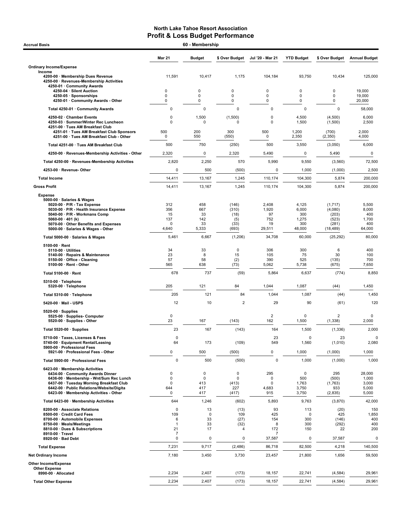| <b>Accrual Basis</b>                                                                                                  |                   | 60 - Membership |                         |                       |                      |                            |                      |
|-----------------------------------------------------------------------------------------------------------------------|-------------------|-----------------|-------------------------|-----------------------|----------------------|----------------------------|----------------------|
|                                                                                                                       | <b>Mar 21</b>     | <b>Budget</b>   | \$ Over Budget          | Jul '20 - Mar 21      | <b>YTD Budget</b>    | \$ Over Budget             | <b>Annual Budget</b> |
| <b>Ordinary Income/Expense</b>                                                                                        |                   |                 |                         |                       |                      |                            |                      |
| Income<br>4200-00 · Membership Dues Revenue<br>4250-00 · Revenues-Membership Activities<br>4250-01 · Community Awards | 11,591            | 10,417          | 1,175                   | 104,184               | 93,750               | 10,434                     | 125,000              |
| 4250-04 · Silent Auction                                                                                              | 0                 | 0               | 0                       | 0                     | 0                    | 0                          | 19,000               |
| 4250-05 · Sponsorships<br>4250-01 · Community Awards - Other                                                          | 0<br>0            | 0<br>0          | 0<br>0                  | 0<br>0                | 0<br>0               | 0<br>0                     | 19,000<br>20,000     |
| Total 4250-01 · Community Awards                                                                                      | 0                 | 0               | 0                       | 0                     | $\pmb{0}$            | 0                          | 58,000               |
| 4250-02 · Chamber Events                                                                                              | $\Omega$          | 1,500           | (1,500)                 | 0                     | 4,500                | (4,500)                    | 6,000                |
| 4250-03 · Summer/Winter Rec Luncheon<br>4251-00 · Tues AM Breakfast Club<br>4251-01 · Tues AM Breakfast Club Sponsors | 0<br>500          | $\Omega$<br>200 | $\Omega$<br>300         | $\mathbf 0$<br>500    | 1,500<br>1,200       | (1,500)<br>(700)           | 2,500<br>2,000       |
| 4251-00 · Tues AM Breakfast Club - Other                                                                              | 0                 | 550             | (550)                   | 0                     | 2,350                | (2, 350)                   | 4,000                |
| Total 4251-00 · Tues AM Breakfast Club                                                                                | 500               | 750             | (250)                   | 500                   | 3,550                | (3,050)                    | 6,000                |
| 4250-00 · Revenues-Membership Activities - Other                                                                      | 2,320             | 0               | 2,320                   | 5,490                 | 0                    | 5,490                      | 0                    |
| Total 4250-00 · Revenues-Membership Activities                                                                        | 2,820             | 2,250           | 570                     | 5,990                 | 9,550                | (3, 560)                   | 72,500               |
| 4253-00 · Revenue- Other                                                                                              | 0                 | 500             | (500)                   | 0                     | 1,000                | (1,000)                    | 2,500                |
| <b>Total Income</b>                                                                                                   | 14,411            | 13,167          | 1,245                   | 110,174               | 104,300              | 5,874                      | 200,000              |
| <b>Gross Profit</b>                                                                                                   | 14,411            | 13,167          | 1,245                   | 110,174               | 104,300              | 5,874                      | 200,000              |
| <b>Expense</b><br>5000-00 · Salaries & Wages<br>5020-00 · P/R - Tax Expense                                           | 312               | 458             | (146)                   | 2,408                 | 4,125                | (1,717)                    | 5,500                |
| 5030-00 · P/R - Health Insurance Expense<br>5040-00 · P/R - Workmans Comp                                             | 356<br>15         | 667<br>33       | (310)<br>(18)           | 1,920<br>97           | 6,000<br>300         | (4,080)<br>(203)           | 8,000<br>400         |
| 5060-00 $\cdot$ 401 (k)                                                                                               | 137               | 142             | (5)                     | 752                   | 1,275                | (523)                      | 1,700                |
| 5070-00 · Other Benefits and Expenses<br>5000-00 · Salaries & Wages - Other                                           | 0<br>4,640        | 33<br>5,333     | (33)<br>(693)           | 19<br>29,511          | 300<br>48,000        | (281)<br>(18, 489)         | 400<br>64,000        |
| Total 5000-00 · Salaries & Wages                                                                                      | 5,461             | 6,667           | (1,206)                 | 34,708                | 60,000               | (25, 292)                  | 80,000               |
| $5100-00 \cdot$ Rent                                                                                                  |                   |                 |                         |                       |                      |                            |                      |
| $5110-00 \cdot$ Utilities<br>5140-00 · Repairs & Maintenance                                                          | 34<br>23          | 33<br>8         | 0<br>15                 | 306<br>105            | 300<br>75            | 6<br>30                    | 400<br>100           |
| 5150-00 · Office - Cleaning<br>5100-00 · Rent - Other                                                                 | 57<br>565         | 58<br>638       | (2)<br>(73)             | 390<br>5,062          | 525<br>5,738         | (135)<br>(675)             | 700<br>7,650         |
| Total 5100-00 · Rent                                                                                                  | 678               | 737             | (59)                    | 5,864                 | 6,637                | (774)                      | 8,850                |
| 5310-00 · Telephone                                                                                                   |                   |                 |                         |                       |                      |                            |                      |
| 5320-00 · Telephone                                                                                                   | 205               | 121             | 84                      | 1,044                 | 1,087                | (44)                       | 1,450                |
| Total 5310-00 · Telephone                                                                                             | 205               | 121             | 84                      | 1,044                 | 1,087                | (44)                       | 1,450                |
| 5420-00 Mail USPS                                                                                                     | 12                | 10              | $\overline{\mathbf{c}}$ | 29                    | 90                   | (61)                       | 120                  |
| $5520-00 \cdot$ Supplies<br>5525-00 · Supplies- Computer<br>5520-00 · Supplies - Other                                | 0<br>23           | 167             | (143)                   | $\overline{2}$<br>162 | $\mathbf 0$<br>1,500 | $\overline{2}$<br>(1, 338) | $\mathbf 0$<br>2,000 |
| Total 5520-00 · Supplies                                                                                              | 23                | 167             | (143)                   | 164                   | 1,500                | (1, 336)                   | 2,000                |
| 5710-00 · Taxes, Licenses & Fees                                                                                      | $\mathbf 0$       |                 |                         | 23                    | $\mathbf 0$          | 23                         | 0                    |
| 5740-00 · Equipment Rental/Leasing<br>5900-00 · Professional Fees                                                     | 64                | 173             | (109)                   | 549                   | 1,560                | (1,010)                    | 2,080                |
| 5921-00 · Professional Fees - Other                                                                                   | 0                 | 500             | (500)                   | 0                     | 1,000                | (1,000)                    | 1,000                |
| Total 5900-00 · Professional Fees                                                                                     | $\pmb{0}$         | 500             | (500)                   | $\pmb{0}$             | 1,000                | (1,000)                    | 1,000                |
| 6423-00 · Membership Activities<br>6434-00 Community Awards Dinner                                                    | 0                 | 0               | $\mathbf 0$             | 295                   | 0                    | 295                        | 28,000               |
| 6436-00 · Membership - Wnt/Sum Rec Lunch<br>6437-00 · Tuesday Morning Breakfast Club                                  | 0<br>0            | 0<br>413        | 0<br>(413)              | 0<br>0                | 500<br>1,763         | (500)<br>(1,763)           | 1,000<br>3,000       |
| 6442-00 · Public Relations/Website/Digita                                                                             | 644               | 417             | 227                     | 4,683                 | 3,750                | 933                        | 5,000                |
| 6423-00 · Membership Activities - Other                                                                               | 0                 | 417             | (417)                   | 915                   | 3,750                | (2,835)                    | 5,000                |
| Total 6423-00 · Membership Activities                                                                                 | 644               | 1,246           | (602)                   | 5,893                 | 9,763                | (3,870)                    | 42,000               |
| 8200-00 · Associate Relations<br>8500-00 · Credit Card Fees                                                           | 0<br>109          | 13<br>0         | (13)<br>109             | 93<br>425             | 113<br>0             | (20)<br>425                | 150<br>1,850         |
| 8700-00 · Automobile Expenses<br>8750-00 · Meals/Meetings                                                             | 6<br>$\mathbf{1}$ | 33<br>33        | (27)<br>(32)            | 154<br>8              | 300<br>300           | (146)<br>(292)             | 400<br>400           |
| 8810-00 · Dues & Subscriptions                                                                                        | 21                | 17              | 4                       | 172                   | 150                  | 22                         | 200                  |
| 8910-00 · Travel<br>8920-00 · Bad Debt                                                                                | 7<br>$\pmb{0}$    | 0               | 0                       | 7<br>37,587           | 0                    | 37,587                     | 0                    |
| <b>Total Expense</b>                                                                                                  | 7,231             | 9,717           | (2, 486)                | 86,718                | 82,500               | 4,218                      | 140,500              |
| <b>Net Ordinary Income</b>                                                                                            | 7,180             | 3,450           | 3,730                   | 23,457                | 21,800               | 1,656                      | 59,500               |
| Other Income/Expense                                                                                                  |                   |                 |                         |                       |                      |                            |                      |
| <b>Other Expense</b><br>8990-00 · Allocated                                                                           | 2,234             | 2,407           | (173)                   | 18,157                | 22,741               | (4, 584)                   | 29,961               |
| <b>Total Other Expense</b>                                                                                            | 2,234             | 2,407           | (173)                   | 18,157                | 22,741               | (4, 584)                   | 29,961               |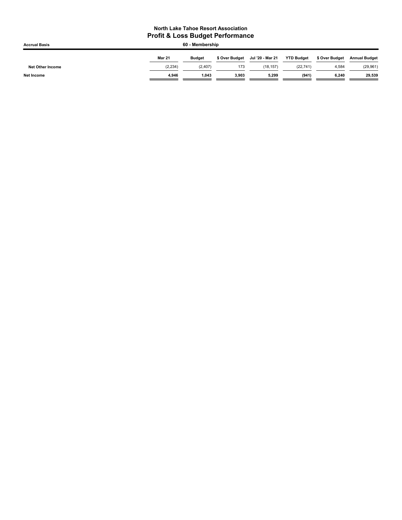| <b>Accrual Basis</b>    |               | 60 - Membership |                |                  |                   |                |                      |
|-------------------------|---------------|-----------------|----------------|------------------|-------------------|----------------|----------------------|
|                         | <b>Mar 21</b> | <b>Budget</b>   | \$ Over Budget | Jul '20 - Mar 21 | <b>YTD Budget</b> | \$ Over Budget | <b>Annual Budget</b> |
| <b>Net Other Income</b> | (2, 234)      | (2,407)         | 173            | (18.157)         | (22, 741)         | 4,584          | (29, 961)            |
| <b>Net Income</b>       | 4.946         | 1.043           | 3.903          | 5,299            | (941)             | 6,240          | 29,539               |